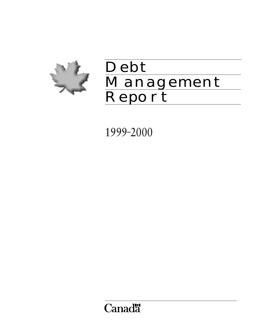

# Debt Management Report

1999–2000

Canadä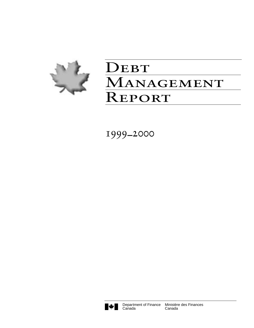

# DEBT MANAGEMENT **REPORT**

1999–2000



**Canada**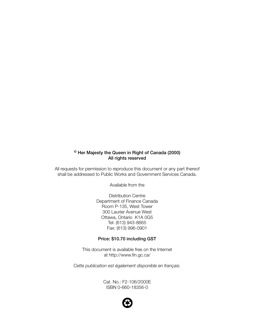# **© Her Majesty the Queen in Right of Canada (2000) All rights reserved**

All requests for permission to reproduce this document or any part thereof shall be addressed to Public Works and Government Services Canada.

Available from the

Distribution Centre Department of Finance Canada Room P-135, West Tower 300 Laurier Avenue West Ottawa, Ontario K1A 0G5 Tel: (613) 943-8665 Fax: (613) 996-0901

#### **Price: \$10.70 including GST**

This document is available free on the Internet at http://www.fin.gc.ca/

*Cette publication est également disponible en français.*

Cat. No.: F2-106/2000E ISBN 0-660-18356-0

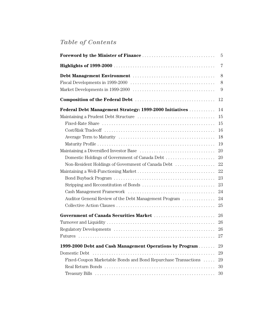# *Table of Contents*

|                                                                                                                                                                                                                          | $\overline{7}$                                                                         |
|--------------------------------------------------------------------------------------------------------------------------------------------------------------------------------------------------------------------------|----------------------------------------------------------------------------------------|
|                                                                                                                                                                                                                          | 8<br>8<br>9                                                                            |
|                                                                                                                                                                                                                          | 12                                                                                     |
| Federal Debt Management Strategy: 1999-2000 Initiatives<br>Domestic Holdings of Government of Canada Debt<br>Non-Resident Holdings of Government of Canada Debt<br>Auditor General Review of the Debt Management Program | 14<br>15<br>15<br>16<br>18<br>19<br>20<br>20<br>22<br>22<br>23<br>23<br>24<br>24<br>25 |
| Government of Canada Securities Market<br>1999-2000 Debt and Cash Management Operations by Program<br>Domestic Debt<br>Fixed-Coupon Marketable Bonds and Bond Repurchase Transactions                                    | 26<br>26<br>29<br>29<br>29<br>30<br>30                                                 |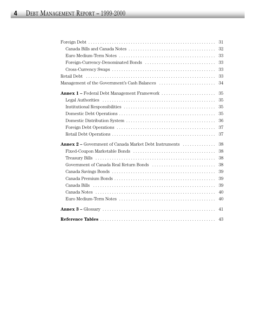|                                                        | 31 |
|--------------------------------------------------------|----|
|                                                        | 32 |
|                                                        | 33 |
| Foreign-Currency-Denominated Bonds                     | 33 |
|                                                        | 33 |
|                                                        | 33 |
|                                                        | 34 |
|                                                        | 35 |
|                                                        | 35 |
|                                                        | 35 |
|                                                        | 35 |
|                                                        | 36 |
|                                                        | 37 |
|                                                        | 37 |
| Annex 2 - Government of Canada Market Debt Instruments | 38 |
|                                                        | 38 |
|                                                        | 38 |
| Government of Canada Real Return Bonds                 | 38 |
|                                                        | 39 |
|                                                        | 39 |
|                                                        | 39 |
|                                                        | 40 |
|                                                        | 40 |
|                                                        | 41 |
|                                                        | 43 |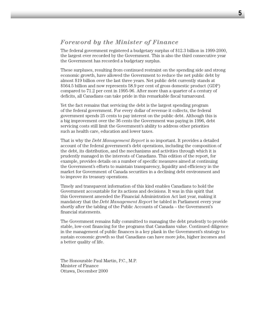# *Foreword by the Minister of Finance*

The federal government registered a budgetary surplus of \$12.3 billion in 1999-2000, the largest ever recorded by the Government. This is also the third consecutive year the Government has recorded a budgetary surplus.

These surpluses, resulting from continued restraint on the spending side and strong economic growth, have allowed the Government to reduce the net public debt by almost \$19 billion over the last three years. Net public debt currently stands at \$564.5 billion and now represents 58.9 per cent of gross domestic product (GDP) compared to 71.2 per cent in 1995-96. After more than a quarter of a century of deficits, all Canadians can take pride in this remarkable fiscal turnaround.

Yet the fact remains that servicing the debt is the largest spending program of the federal government. For every dollar of revenue it collects, the federal government spends 25 cents to pay interest on the public debt. Although this is a big improvement over the 36 cents the Government was paying in 1996, debt servicing costs still limit the Government's ability to address other priorities such as health care, education and lower taxes.

That is why the *Debt Management Report* is so important. It provides a detailed account of the federal government's debt operations, including the composition of the debt, its distribution, and the mechanisms and activities through which it is prudently managed in the interests of Canadians. This edition of the report, for example, provides details on a number of specific measures aimed at continuing the Government's efforts to maintain transparency, liquidity and efficiency in the market for Government of Canada securities in a declining debt environment and to improve its treasury operations.

Timely and transparent information of this kind enables Canadians to hold the Government accountable for its actions and decisions. It was in this spirit that this Government amended the Financial Administration Act last year, making it mandatory that the *Debt Management Report* be tabled in Parliament every year shortly after the tabling of the Public Accounts of Canada – the Government's financial statements.

The Government remains fully committed to managing the debt prudently to provide stable, low-cost financing for the programs that Canadians value. Continued diligence in the management of public finances is a key plank in the Government's strategy to sustain economic growth so that Canadians can have more jobs, higher incomes and a better quality of life.

The Honourable Paul Martin, P.C., M.P. Minister of Finance Ottawa, December 2000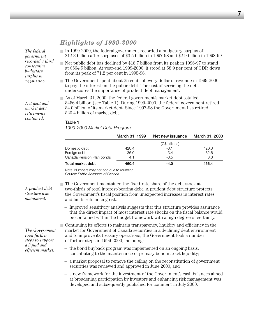# **7**

# *Highlights of 1999-2000*

*The federal government recorded a third consecutive budgetary surplus in 1999-2000.*

*Net debt and market debt retirements continued.*

- In 1999-2000, the federal government recorded a budgetary surplus of \$12.3 billion after surpluses of \$3.5 billion in 1997-98 and \$2.9 billion in 1998-99.
- $\blacksquare$  Net public debt has declined by \$18.7 billion from its peak in 1996-97 to stand at \$564.5 billion. At year-end 1999-2000, it stood at 58.9 per cent of GDP, down from its peak of 71.2 per cent in 1995-96.
- The Government spent about 25 cents of every dollar of revenue in 1999-2000 to pay the interest on the public debt. The cost of servicing the debt underscores the importance of prudent debt management.
- $\Box$  As of March 31, 2000, the federal government's market debt totalled \$456.4 billion (see Table 1). During 1999-2000, the federal government retired \$4.0 billion of its market debt. Since 1997-98 the Government has retired \$20.4 billion of market debt.

#### **Table 1**

*1999-2000 Market Debt Program*

|                           | March 31, 1999 | Net new issuance | March 31, 2000 |
|---------------------------|----------------|------------------|----------------|
|                           |                | (C\$ billions)   |                |
| Domestic debt             | 420.4          | $-0.1$           | 420.3          |
| Foreign debt              | 36.0           | $-3.4$           | 32.6           |
| Canada Pension Plan bonds | 4.1            | $-0.5$           | 3.6            |
| Total market debt         | 460.4          | $-4.0$           | 456.4          |

Note: Numbers may not add due to rounding. Source: *Public Accounts of Canada*.

*A prudent debt structure was maintained.* 

two-thirds of total interest-bearing debt. A prudent debt structure protects the Government's fiscal position from unexpected increases in interest rates and limits refinancing risk.

■ The Government maintained the fixed-rate share of the debt stock at

– Improved sensitivity analysis suggests that this structure provides assurance that the direct impact of most interest rate shocks on the fiscal balance would be contained within the budget framework with a high degree of certainty.

■ Continuing its efforts to maintain transparency, liquidity and efficiency in the market for Government of Canada securities in a declining debt environment and to improve its treasury operations, the Government took a number of further steps in 1999-2000, including:

- the bond buyback program was implemented on an ongoing basis, contributing to the maintenance of primary bond market liquidity;
- a market proposal to remove the ceiling on the reconstitution of government securities was reviewed and approved in June 2000; and
- a new framework for the investment of the Government's cash balances aimed at broadening participation by investors and enhancing risk management was developed and subsequently published for comment in July 2000.

*The Government took further steps to support a liquid and efficient market.*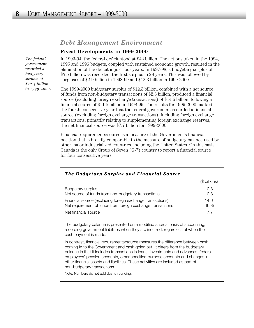# *Debt Management Environment*

#### **Fiscal Developments in 1999-2000**

In 1993-94, the federal deficit stood at \$42 billion. The actions taken in the 1994, 1995 and 1996 budgets, coupled with sustained economic growth, resulted in the elimination of the deficit in just four years. In 1997-98, a budgetary surplus of \$3.5 billion was recorded, the first surplus in 28 years. This was followed by surpluses of \$2.9 billion in 1998-99 and \$12.3 billion in 1999-2000.

The 1999-2000 budgetary surplus of \$12.3 billion, combined with a net source of funds from non-budgetary transactions of \$2.3 billion, produced a financial source (excluding foreign exchange transactions) of \$14.6 billion, following a financial source of \$11.5 billion in 1998-99. The results for 1999-2000 marked the fourth consecutive year that the federal government recorded a financial source (excluding foreign exchange transactions). Including foreign exchange transactions, primarily relating to supplementing foreign exchange reserves, the net financial source was \$7.7 billion for 1999-2000.

Financial requirements/source is a measure of the Government's financial position that is broadly comparable to the measure of budgetary balance used by other major industrialized countries, including the United States. On this basis, Canada is the only Group of Seven (G-7) country to report a financial source for four consecutive years.

| <b>The Budgetary Surplus and Financial Source</b>                                                                                                                                                                                                                                                                                                                                                                                                           |               |
|-------------------------------------------------------------------------------------------------------------------------------------------------------------------------------------------------------------------------------------------------------------------------------------------------------------------------------------------------------------------------------------------------------------------------------------------------------------|---------------|
|                                                                                                                                                                                                                                                                                                                                                                                                                                                             | (\$ billions) |
| Budgetary surplus<br>Net source of funds from non-budgetary transactions                                                                                                                                                                                                                                                                                                                                                                                    | 12.3<br>2.3   |
| Financial source (excluding foreign exchange transactions)<br>Net requirement of funds from foreign exchange transactions                                                                                                                                                                                                                                                                                                                                   | 14.6<br>(6.8) |
| Net financial source                                                                                                                                                                                                                                                                                                                                                                                                                                        | 7.7           |
| The budgetary balance is presented on a modified accrual basis of accounting,<br>recording government liabilities when they are incurred, regardless of when the<br>cash payment is made.                                                                                                                                                                                                                                                                   |               |
| In contrast, financial requirements/source measures the difference between cash<br>coming in to the Government and cash going out. It differs from the budgetary<br>balance in that it includes transactions in loans, investments and advances, federal<br>employees' pension accounts, other specified purpose accounts and changes in<br>other financial assets and liabilities. These activities are included as part of<br>non-budgetary transactions. |               |
| Note: Numbers do not add due to rounding.                                                                                                                                                                                                                                                                                                                                                                                                                   |               |

*The federal government recorded a budgetary surplus of \$12.3 billion in 1999-2000.*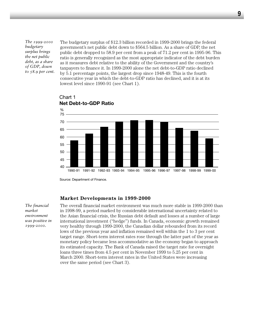*The 1999-2000 budgetary surplus brings the net public debt, as a share of GDP, down to 58.9 per cent.*

The budgetary surplus of \$12.3 billion recorded in 1999-2000 brings the federal government's net public debt down to \$564.5 billion. As a share of GDP, the net public debt dropped to 58.9 per cent from a peak of 71.2 per cent in 1995-96. This ratio is generally recognized as the most appropriate indicator of the debt burden as it measures debt relative to the ability of the Government and the country's taxpayers to finance it. In 1999-2000 alone the net debt-to-GDP ratio declined by 5.1 percentage points, the largest drop since 1948-49. This is the fourth consecutive year in which the debt-to-GDP ratio has declined, and it is at its lowest level since 1990-91 (see Chart 1).



Chart 1 **Net Debt-to-GDP Ratio**

Source: Department of Finance.

#### **Market Developments in 1999-2000**

*The financial market environment was positive in 1999-2000.*

The overall financial market environment was much more stable in 1999-2000 than in 1998-99, a period marked by considerable international uncertainty related to the Asian financial crisis, the Russian debt default and losses at a number of large international investment ("hedge") funds. In Canada, economic growth remained very healthy through 1999-2000, the Canadian dollar rebounded from its record lows of the previous year and inflation remained well within the 1 to 3 per cent target range. Short-term interest rates rose through the latter part of the year as monetary policy became less accommodative as the economy began to approach its estimated capacity. The Bank of Canada raised the target rate for overnight loans three times from 4.5 per cent in November 1999 to 5.25 per cent in March 2000. Short-term interest rates in the United States were increasing over the same period (see Chart 3).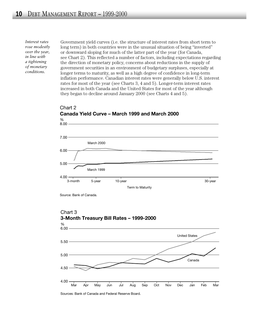*Interest rates rose modestly over the year, in line with a tightening of monetary conditions.*

Government yield curves (i.e. the structure of interest rates from short term to long term) in both countries were in the unusual situation of being "inverted" or downward sloping for much of the latter part of the year (for Canada, see Chart 2). This reflected a number of factors, including expectations regarding the direction of monetary policy, concerns about reductions in the supply of government securities in an environment of budgetary surpluses, especially at longer terms to maturity, as well as a high degree of confidence in long-term inflation performance. Canadian interest rates were generally below U.S. interest rates for most of the year (see Charts 3, 4 and 5). Longer-term interest rates increased in both Canada and the United States for most of the year although they began to decline around January 2000 (see Charts 4 and 5).



# Chart 2 **Canada Yield Curve – March 1999 and March 2000**

Sources: Bank of Canada and Federal Reserve Board.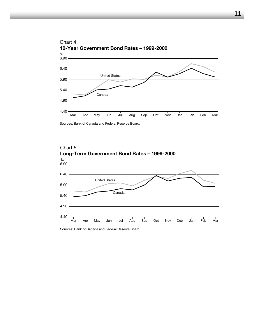

Sources: Bank of Canada and Federal Reserve Board.



Sources: Bank of Canada and Federal Reserve Board.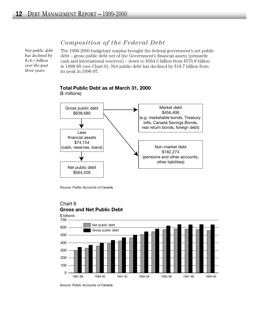# *Composition of the Federal Debt*

*Net public debt has declined by \$18.7 billion over the past three years.*

The 1999-2000 budgetary surplus brought the federal government's net public debt – gross public debt net of the Government's financial assets (primarily cash and international reserves) – down to \$564.5 billion from \$576.8 billion in 1998-99 (see Chart 6). Net public debt has declined by \$18.7 billion from its peak in 1996-97.



# **Total Public Debt as at March 31, 2000**

(\$ millions)

Source: *Public Accounts of Canada.*



# Chart 6 **Gross and Net Public Debt**

Source: *Public Accounts of Canada.*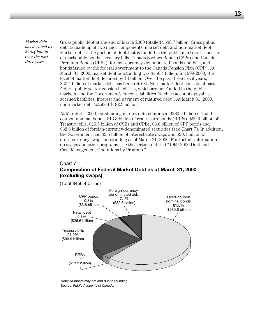*Market debt has declined by \$20.4 billion over the past three years.*

Gross public debt at the end of March 2000 totalled \$638.7 billion. Gross public debt is made up of two major components: market debt and non-market debt. Market debt is the portion of debt that is funded in the public markets. It consists of marketable bonds, Treasury bills, Canada Savings Bonds (CSBs) and Canada Premium Bonds (CPBs), foreign-currency-denominated bonds and bills, and bonds issued by the federal government to the Canada Pension Plan (CPP). At March 31, 2000, market debt outstanding was \$456.4 billion. In 1999-2000, the level of market debt declined by \$4 billion. Over the past three fiscal years, \$20.4 billion of market debt has been retired. Non-market debt consists of past federal public sector pension liabilities, which are not funded in the public markets, and the Government's current liabilities (such as accounts payable, accrued liabilities, interest and payment of matured debt). At March 31, 2000, non-market debt totalled \$182.3 billion.

At March 31, 2000, outstanding market debt comprised \$280.6 billion of fixedcoupon nominal bonds, \$13.3 billion of real return bonds (RRBs), \$99.9 billion of Treasury bills, \$26.5 billion of CSBs and CPBs, \$3.6 billion of CPP bonds and \$32.6 billion of foreign-currency-denominated securities (see Chart 7). In addition, the Government had \$2.5 billion of interest-rate swaps and \$20.1 billion of cross-currency swaps outstanding as of March 31, 2000. For further information on swaps and other programs, see the section entitled "1999-2000 Debt and Cash Management Operations by Program."

## Chart 7 **Composition of Federal Market Debt as at March 31, 2000 (excluding swaps)**

(Total \$456.4 billion)



Note: Numbers may not add due to rounding. Source: *Public Accounts of Canada.*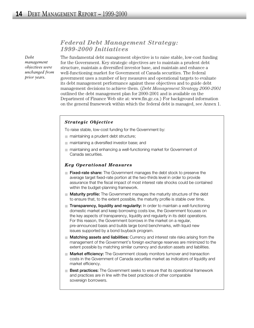# *Federal Debt Management Strategy: 1999-2000 Initiatives*

*Debt management objectives were unchanged from prior years.*

The fundamental debt management objective is to raise stable, low-cost funding for the Government. Key strategic objectives are to maintain a prudent debt structure, maintain a diversified investor base, and maintain and enhance a well-functioning market for Government of Canada securities. The federal government uses a number of key measures and operational targets to evaluate its debt management performance against these objectives and to guide debt management decisions to achieve them. (*Debt Management Strategy 2000-2001* outlined the debt management plan for 2000-2001 and is available on the Department of Finance Web site at: www.fin.gc.ca.) For background information on the general framework within which the federal debt is managed, see Annex 1.

#### *Strategic Objective*

To raise stable, low-cost funding for the Government by:

- maintaining a prudent debt structure;
- maintaining a diversified investor base; and
- maintaining and enhancing a well-functioning market for Government of Canada securities.

#### *Key Operational Measures*

- **Fixed-rate share:** The Government manages the debt stock to preserve the average target fixed-rate portion at the two-thirds level in order to provide assurance that the fiscal impact of most interest rate shocks could be contained within the budget-planning framework.
- **Maturity profile:** The Government manages the maturity structure of the debt to ensure that, to the extent possible, the maturity profile is stable over time.
- **Transparency, liquidity and regularity:** In order to maintain a well-functioning domestic market and keep borrowing costs low, the Government focuses on the key aspects of transparency, liquidity and regularity in its debt operations. For this reason, the Government borrows in the market on a regular, pre-announced basis and builds large bond benchmarks, with liquid new issues supported by a bond buyback program.
- **Matching assets and liabilities:** Currency and interest rate risks arising from the management of the Government's foreign exchange reserves are minimized to the extent possible by matching similar currency and duration assets and liabilities.
- **Market efficiency:** The Government closely monitors turnover and transaction costs in the Government of Canada securities market as indicators of liquidity and market efficiency.
- **Best practices:** The Government seeks to ensure that its operational framework and practices are in line with the best practices of other comparable sovereign borrowers.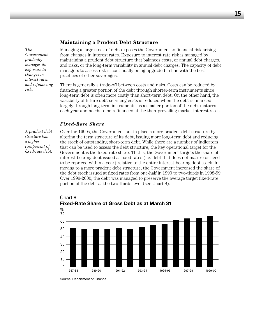#### **Maintaining a Prudent Debt Structure**

*The Government prudently manages its exposure to changes in interest rates and refinancing risk.*

Managing a large stock of debt exposes the Government to financial risk arising from changes in interest rates. Exposure to interest rate risk is managed by maintaining a prudent debt structure that balances costs, or annual debt charges, and risks, or the long-term variability in annual debt charges. The capacity of debt managers to assess risk is continually being upgraded in line with the best practices of other sovereigns.

There is generally a trade-off between costs and risks. Costs can be reduced by financing a greater portion of the debt through shorter-term instruments since long-term debt is often more costly than short-term debt. On the other hand, the variability of future debt servicing costs is reduced when the debt is financed largely through long-term instruments, as a smaller portion of the debt matures each year and needs to be refinanced at the then-prevailing market interest rates.

#### *Fixed-Rate Share*

*A prudent debt structure has a higher component of fixed-rate debt.* Over the 1990s, the Government put in place a more prudent debt structure by altering the term structure of its debt, issuing more long-term debt and reducing the stock of outstanding short-term debt. While there are a number of indicators that can be used to assess the debt structure, the key operational target for the Government is the fixed-rate share. That is, the Government targets the share of interest-bearing debt issued at fixed rates (i.e. debt that does not mature or need to be repriced within a year) relative to the entire interest-bearing debt stock. In moving to a more prudent debt structure, the Government increased the share of the debt stock issued at fixed rates from one-half in 1990 to two-thirds in 1998-99. Over 1999-2000, the debt was managed to preserve the average target fixed-rate portion of the debt at the two-thirds level (see Chart 8).



Chart 8 **Fixed-Rate Share of Gross Debt as at March 31**

Source: Department of Finance.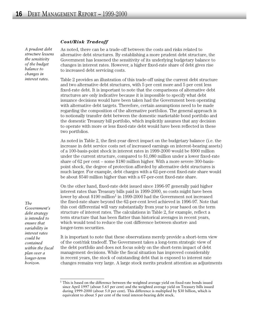#### *Cost/Risk Tradeoff*

*A prudent debt structure lessens the sensitivity of the budget balance to changes in interest rates.*

As noted, there can be a trade-off between the costs and risks related to alternative debt structures. By establishing a more prudent debt structure, the Government has lessened the sensitivity of its underlying budgetary balance to changes in interest rates. However, a higher fixed-rate share of debt gives rise to increased debt servicing costs.

Table 2 provides an illustration of this trade-off using the current debt structure and two alternative debt structures, with 5 per cent more and 5 per cent less fixed-rate debt. It is important to note that the comparisons of alternative debt structures are only indicative because it is impossible to specify what debt issuance decisions would have been taken had the Government been operating with alternative debt targets. Therefore, certain assumptions need to be made regarding the composition of the alternative portfolios. The general approach is to notionally transfer debt between the domestic marketable bond portfolio and the domestic Treasury bill portfolio, which implicitly assumes that any decision to operate with more or less fixed-rate debt would have been reflected in these two portfolios.

As noted in Table 2, the first-year direct impact on the budgetary balance (i.e. the increase in debt service costs net of increased earnings on interest-bearing assets) of a 100-basis-point shock in interest rates in 1999-2000 would be \$900 million under the current structure, compared to \$1,080 million under a lower fixed-rate share of 62 per cent – some \$180 million higher. With a more severe 300-basispoint shock, the degree of protection afforded by alternative debt structures is much larger. For example, debt charges with a 62-per-cent fixed-rate share would be about \$540 million higher than with a 67-per-cent fixed-rate share.

On the other hand, fixed-rate debt issued since 1996-97 generally paid higher interest rates than Treasury bills paid in 1999-2000, so costs might have been lower by about  $$190$  million<sup>1</sup> in 1999-2000 had the Government not increased the fixed-rate share beyond the 62-per-cent level achieved in 1996-97. Note that this cost differential will vary substantially from year to year based on the term structure of interest rates. The calculations in Table 2, for example, reflect a term structure that has been flatter than historical averages in recent years, which would tend to reduce the cost difference between shorter- and longer-term securities.

*debt strategy is intended to ensure that variability in interest rates could be contained within the fiscal plan over a longer-term horizon.*

*Government's*

*The*

It is important to note that these observations merely provide a short-term view of the cost/risk tradeoff. The Government takes a long-term strategic view of the debt portfolio and does not focus solely on the short-term impact of debt management decisions. While the fiscal situation has improved considerably in recent years, the stock of outstanding debt that is exposed to interest rate changes remains very large. A large stock merits prudent attention as adjustments

 $1$  This is based on the difference between the weighted average yield on fixed-rate bonds issued since April 1997 (about 5.65 per cent) and the weighted average yield on Treasury bills issued during 1999-2000 (about 5.0 per cent). This difference is multiplied by \$30 billion, which is equivalent to about 5 per cent of the total interest-bearing debt stock.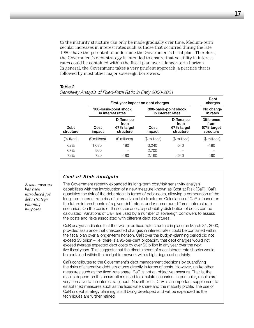to the maturity structure can only be made gradually over time. Medium-term secular increases in interest rates such as those that occurred during the late 1980s have the potential to undermine the Government's fiscal plan. Therefore, the Government's debt strategy is intended to ensure that volatility in interest rates could be contained within the fiscal plan over a longer-term horizon. In general, the Government takes a very prudent approach, a practice that is followed by most other major sovereign borrowers.

#### **Table 2**

|                   |                | First-year impact on debt charges                    |                |                                                      | Debt<br>charges                                      |
|-------------------|----------------|------------------------------------------------------|----------------|------------------------------------------------------|------------------------------------------------------|
|                   |                | 100-basis-point shock<br>in interest rates           |                | 300-basis-point shock<br>in interest rates           | No change<br>in rates                                |
| Debt<br>structure | Cost<br>impact | <b>Difference</b><br>from<br>67% target<br>structure | Cost<br>impact | <b>Difference</b><br>from<br>67% target<br>structure | <b>Difference</b><br>from<br>67% target<br>structure |
| (% fixed)         | (\$ millions)  | (\$ millions)                                        | (\$ millions)  | (\$ millions)                                        | (\$ millions)                                        |
| 62%               | 1,080          | 180                                                  | 3,240          | 540                                                  | $-190$                                               |
| 67%               | 900            |                                                      | 2,700          |                                                      |                                                      |
| 72%               | 720            | -180                                                 | 2,160          | $-540$                                               | 190                                                  |

#### *Sensitivity Analysis of Fixed-Rate Ratio in Early 2000-2001*

#### *Cost at Risk Analysis*

The Government recently expanded its long-term cost/risk sensitivity analysis capabilities with the introduction of a new measure known as Cost at Risk (CaR). CaR quantifies the risk of the debt stock in terms of debt costs, allowing a comparison of the long-term interest rate risk of alternative debt structures. Calculation of CaR is based on the future interest costs of a given debt stock under numerous different interest rate scenarios. On the basis of these scenarios, a probability distribution of costs can be calculated. Variations of CaR are used by a number of sovereign borrowers to assess the costs and risks associated with different debt structures.

CaR analysis indicates that the two-thirds fixed-rate structure in place on March 31, 2000, provided assurance that unexpected changes in interest rates could be contained within the fiscal plan over a longer-term horizon. CaR over the budget-planning period did not exceed \$3 billion – i.e. there is a 95-per-cent probability that debt charges would not exceed average expected debt costs by over \$3 billion in any year over the next five fiscal years. This suggests that the direct impact of most interest rate shocks would be contained within the budget framework with a high degree of certainty.

CaR contributes to the Government's debt management decisions by quantifying the risks of alternative debt structures directly in terms of costs. However, unlike other measures such as the fixed-rate share, CaR is not an objective measure. That is, the results depend on the assumptions used to simulate scenarios. In particular, results are very sensitive to the interest rate input. Nevertheless, CaR is an important supplement to established measures such as the fixed-rate share and the maturity profile. The use of CaR in debt strategy planning is still being developed and will be expanded as the techniques are further refined.

*A new measure has been introduced for debt strategy planning purposes.*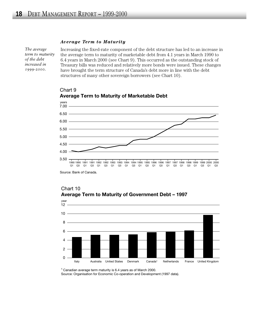#### *Average Term to Maturity*

*The average term to maturity of the debt increased in 1999-2000.*

Increasing the fixed-rate component of the debt structure has led to an increase in the average term to maturity of marketable debt from 4.1 years in March 1990 to 6.4 years in March 2000 (see Chart 9). This occurred as the outstanding stock of Treasury bills was reduced and relatively more bonds were issued. These changes have brought the term structure of Canada's debt more in line with the debt structures of many other sovereign borrowers (see Chart 10).



#### Chart 9 **Average Term to Maturity of Marketable Debt**

Source: Bank of Canada.



#### Chart 10 **Average Term to Maturity of Government Debt – 1997**

1 Canadian average term maturity is 6.4 years as of March 2000. Source: Organisation for Economic Co-operation and Development (1997 data).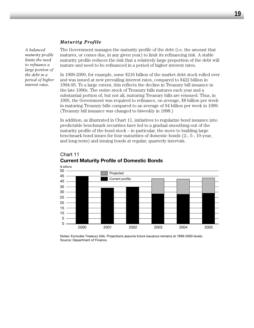#### *Maturity Profile*

*A balanced maturity profile limits the need to refinance a large portion of the debt in a period of higher interest rates.*

The Government manages the maturity profile of the debt (i.e. the amount that matures, or comes due, in any given year) to limit its refinancing risk. A stable maturity profile reduces the risk that a relatively large proportion of the debt will mature and need to be refinanced in a period of higher interest rates.

In 1999-2000, for example, some \$216 billion of the market debt stock rolled over and was issued at new prevailing interest rates, compared to \$422 billion in 1994-95. To a large extent, this reflects the decline in Treasury bill issuance in the late 1990s. The entire stock of Treasury bills matures each year and a substantial portion of, but not all, maturing Treasury bills are reissued. Thus, in 1995, the Government was required to refinance, on average, \$8 billion per week in maturing Treasury bills compared to an average of \$4 billion per week in 1999. (Treasury bill issuance was changed to biweekly in 1998.)

In addition, as illustrated in Chart 11, initiatives to regularize bond issuance into predictable benchmark securities have led to a gradual smoothing-out of the maturity profile of the bond stock – in particular, the move to building large benchmark bond issues for four maturities of domestic bonds (2-, 5-, 10-year, and long-term) and issuing bonds at regular, quarterly intervals.



## Chart 11 **Current Maturity Profile of Domestic Bonds**

Notes: Excludes Treasury bills. Projections assume future issuance remains at 1999-2000 levels. Source: Department of Finance.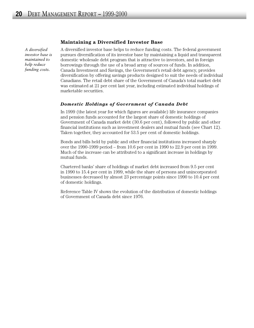#### **Maintaining a Diversified Investor Base**

*A diversified investor base is maintained to help reduce funding costs.*

A diversified investor base helps to reduce funding costs. The federal government pursues diversification of its investor base by maintaining a liquid and transparent domestic wholesale debt program that is attractive to investors, and in foreign borrowings through the use of a broad array of sources of funds. In addition, Canada Investment and Savings, the Government's retail debt agency, provides diversification by offering savings products designed to suit the needs of individual Canadians. The retail debt share of the Government of Canada's total market debt was estimated at 21 per cent last year, including estimated individual holdings of marketable securities.

#### *Domestic Holdings of Government of Canada Debt*

In 1999 (the latest year for which figures are available) life insurance companies and pension funds accounted for the largest share of domestic holdings of Government of Canada market debt (30.6 per cent), followed by public and other financial institutions such as investment dealers and mutual funds (see Chart 12). Taken together, they accounted for 53.5 per cent of domestic holdings.

Bonds and bills held by public and other financial institutions increased sharply over the 1990-1999 period – from 10.6 per cent in 1990 to 22.9 per cent in 1999. Much of the increase can be attributed to a significant increase in holdings by mutual funds.

Chartered banks' share of holdings of market debt increased from 9.5 per cent in 1990 to 15.4 per cent in 1999, while the share of persons and unincorporated businesses decreased by almost 23 percentage points since 1990 to 10.4 per cent of domestic holdings.

Reference Table IV shows the evolution of the distribution of domestic holdings of Government of Canada debt since 1976.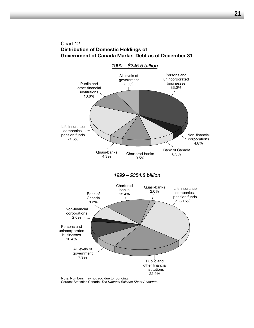# Chart 12 **Distribution of Domestic Holdings of Government of Canada Market Debt as of December 31**



Source: Statistics Canada, *The National Balance Sheet Accounts*.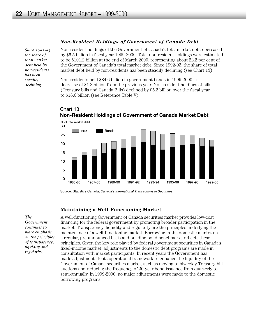Chart 13

#### *Since 1992-93, the share of total market debt held by non-residents has been steadily declining.*

#### *Non-Resident Holdings of Government of Canada Debt*

Non-resident holdings of the Government of Canada's total market debt decreased by \$6.5 billion in fiscal year 1999-2000. Total non-resident holdings were estimated to be \$101.2 billion at the end of March 2000, representing about 22.2 per cent of the Government of Canada's total market debt. Since 1992-93, the share of total market debt held by non-residents has been steadily declining (see Chart 13).

Non-residents held \$84.6 billion in government bonds in 1999-2000, a decrease of \$1.3 billion from the previous year. Non-resident holdings of bills (Treasury bills and Canada Bills) declined by \$5.2 billion over the fiscal year to \$16.6 billion (see Reference Table V).



# **Non-Resident Holdings of Government of Canada Market Debt**

#### **Maintaining a Well-Functioning Market**

*The Government continues to place emphasis on the principles of transparency, liquidity and regularity.*

A well-functioning Government of Canada securities market provides low-cost financing for the federal government by promoting broader participation in the market. Transparency, liquidity and regularity are the principles underlying the maintenance of a well-functioning market. Borrowing in the domestic market on a regular, pre-announced basis and building bond benchmarks reflects these principles. Given the key role played by federal government securities in Canada's fixed-income market, adjustments to the domestic debt programs are made in consultation with market participants. In recent years the Government has made adjustments to its operational framework to enhance the liquidity of the Government of Canada securities market, such as moving to biweekly Treasury bill auctions and reducing the frequency of 30-year bond issuance from quarterly to semi-annually. In 1999-2000, no major adjustments were made to the domestic borrowing programs.

Source: Statistics Canada, *Canada's International Transactions in Securities*.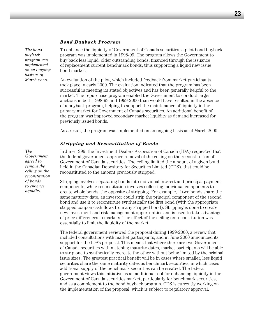#### *Bond Buyback Program*

*The bond buyback program was implemented on an ongoing basis as of March 2000.* 

To enhance the liquidity of Government of Canada securities, a pilot bond buyback program was implemented in 1998-99. The program allows the Government to buy back less liquid, older outstanding bonds, financed through the issuance of replacement current benchmark bonds, thus supporting a liquid new issue bond market.

An evaluation of the pilot, which included feedback from market participants, took place in early 2000. The evaluation indicated that the program has been successful in meeting its stated objectives and has been generally helpful to the market. The repurchase program enabled the Government to conduct larger auctions in both 1998-99 and 1999-2000 than would have resulted in the absence of a buyback program, helping to support the maintenance of liquidity in the primary market for Government of Canada securities. An additional benefit of the program was improved secondary market liquidity as demand increased for previously issued bonds.

As a result, the program was implemented on an ongoing basis as of March 2000.

#### *Stripping and Reconstitution of Bonds*

In June 1999, the Investment Dealers Association of Canada (IDA) requested that the federal government approve removal of the ceiling on the reconstitution of Government of Canada securities. The ceiling limited the amount of a given bond, held in the Canadian Depository for Securities Limited (CDS), that could be reconstituted to the amount previously stripped.

Stripping involves separating bonds into individual interest and principal payment components, while reconstitution involves collecting individual components to create whole bonds, the opposite of stripping. For example, if two bonds share the same maturity date, an investor could strip the principal component of the second bond and use it to reconstitute synthetically the first bond (with the appropriate stripped coupon cash flows from any stripped bond). Stripping is done to create new investment and risk management opportunities and is used to take advantage of price differences in markets. The effect of the ceiling on reconstitution was essentially to limit the liquidity of the market.

The federal government reviewed the proposal during 1999-2000, a review that included consultations with market participants, and in June 2000 announced its support for the IDA's proposal. This means that where there are two Government of Canada securities with matching maturity dates, market participants will be able to strip one to synthetically recreate the other without being limited by the original issue sizes. The greatest practical benefit will be in cases where smaller, less liquid securities share the same maturity dates as benchmark securities, in which cases additional supply of the benchmark securities can be created. The federal government views this initiative as an additional tool for enhancing liquidity in the Government of Canada securities market, particularly for benchmark securities, and as a complement to the bond buyback program. CDS is currently working on the implementation of the proposal, which is subject to regulatory approval.

*The*

*Government agreed to remove the ceiling on the reconstitution of bonds to enhance liquidity.*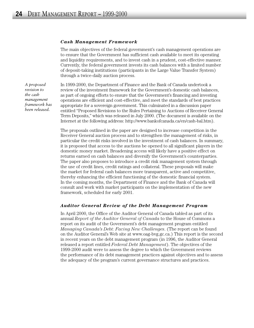#### *Cash Management Framework*

The main objectives of the federal government's cash management operations are to ensure that the Government has sufficient cash available to meet its operating and liquidity requirements, and to invest cash in a prudent, cost-effective manner. Currently, the federal government invests its cash balances with a limited number of deposit-taking institutions (participants in the Large Value Transfer System) through a twice-daily auction process.

*A proposed revision to the cash management framework has been released.*

In 1999-2000, the Department of Finance and the Bank of Canada undertook a review of the investment framework for the Government's domestic cash balances, as part of ongoing efforts to ensure that the Government's financing and investing operations are efficient and cost-effective, and meet the standards of best practices appropriate for a sovereign government. This culminated in a discussion paper entitled "Proposed Revisions to the Rules Pertaining to Auctions of Receiver General Term Deposits," which was released in July 2000. (The document is available on the Internet at the following address: http://www.bankofcanada.ca/en/cash-bal.htm).

The proposals outlined in the paper are designed to increase competition in the Receiver General auction process and to strengthen the management of risks, in particular the credit risks involved in the investment of cash balances. In summary, it is proposed that access to the auctions be opened to all significant players in the domestic money market. Broadening access will likely have a positive effect on returns earned on cash balances and diversify the Government's counterparties. The paper also proposes to introduce a credit risk management system through the use of credit lines, credit ratings and collateral. These proposals will make the market for federal cash balances more transparent, active and competitive, thereby enhancing the efficient functioning of the domestic financial system. In the coming months, the Department of Finance and the Bank of Canada will consult and work with market participants on the implementation of the new framework, scheduled for early 2001.

#### *Auditor General Review of the Debt Management Program*

In April 2000, the Office of the Auditor General of Canada tabled as part of its annual *Report of the Auditor General of Canada* to the House of Commons a report on its audit of the Government's debt management program entitled *Managing Canada's Debt: Facing New Challenges*. (The report can be found on the Auditor General's Web site at www.oag-bvg.gc.ca.) This report is the second in recent years on the debt management program (in 1996, the Auditor General released a report entitled *Federal Debt Management*). The objectives of the 1999-2000 audit were to assess the degree to which the Government reviews the performance of its debt management practices against objectives and to assess the adequacy of the program's current governance structures and practices.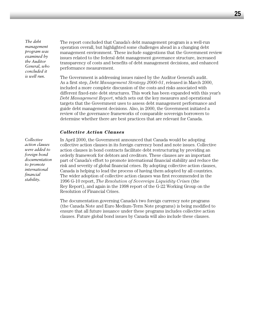*The debt management program was examined by the Auditor General, who concluded it is well run.*

The report concluded that Canada's debt management program is a well-run operation overall, but highlighted some challenges ahead in a changing debt management environment. These include suggestions that the Government review issues related to the federal debt management governance structure, increased transparency of costs and benefits of debt management decisions, and enhanced performance measurement.

The Government is addressing issues raised by the Auditor General's audit. As a first step, *Debt Management Strategy 2000-01*, released in March 2000, included a more complete discussion of the costs and risks associated with different fixed-rate debt structures. This work has been expanded with this year's *Debt Management Report*, which sets out the key measures and operational targets that the Government uses to assess debt management performance and guide debt management decisions. Also, in 2000, the Government initiated a review of the governance frameworks of comparable sovereign borrowers to determine whether there are best practices that are relevant for Canada.

#### *Collective Action Clauses*

*Collective action clauses were added to foreign bond documentation to promote international financial stability.*

In April 2000, the Government announced that Canada would be adopting collective action clauses in its foreign currency bond and note issues. Collective action clauses in bond contracts facilitate debt restructuring by providing an orderly framework for debtors and creditors. These clauses are an important part of Canada's effort to promote international financial stability and reduce the risk and severity of global financial crises. By adopting collective action clauses, Canada is helping to lead the process of having them adopted by all countries. The wider adoption of collective action clauses was first recommended in the 1996 G-10 report, *The Resolution of Sovereign Liquidity Crises* (the Rey Report), and again in the 1998 report of the G-22 Working Group on the Resolution of Financial Crises.

The documentation governing Canada's two foreign currency note programs (the Canada Note and Euro Medium-Term Note programs) is being modified to ensure that all future issuance under these programs includes collective action clauses. Future global bond issues by Canada will also include these clauses.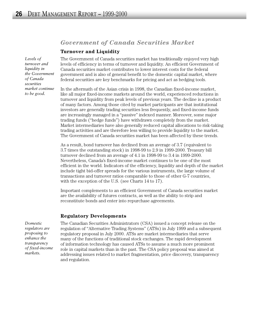# *Government of Canada Securities Market*

#### **Turnover and Liquidity**

*Levels of turnover and liquidity in the Government of Canada securities market continue to be good.*

The Government of Canada securities market has traditionally enjoyed very high levels of efficiency in terms of turnover and liquidity. An efficient Government of Canada securities market contributes to lower interest costs for the federal government and is also of general benefit to the domestic capital market, where federal securities are key benchmarks for pricing and act as hedging tools.

In the aftermath of the Asian crisis in 1998, the Canadian fixed-income market, like all major fixed-income markets around the world, experienced reductions in turnover and liquidity from peak levels of previous years. The decline is a product of many factors. Among those cited by market participants are that institutional investors are generally trading securities less frequently, and fixed-income funds are increasingly managed in a "passive" indexed manner. Moreover, some major trading funds ("hedge funds") have withdrawn completely from the market. Market intermediaries have also generally reduced capital allocations to risk-taking trading activities and are therefore less willing to provide liquidity to the market. The Government of Canada securities market has been affected by these trends.

As a result, bond turnover has declined from an average of 3.7 (equivalent to 3.7 times the outstanding stock) in 1998-99 to 2.9 in 1999-2000. Treasury bill turnover declined from an average of 4.1 in 1998-99 to 3.4 in 1999-2000. Nevertheless, Canada's fixed-income market continues to be one of the most efficient in the world. Indicators of the efficiency, liquidity and depth of the market include tight bid-offer spreads for the various instruments, the large volume of transactions and turnover ratios comparable to those of other G-7 countries, with the exception of the U.S. (see Charts 14 to 17).

Important complements to an efficient Government of Canada securities market are the availability of futures contracts, as well as the ability to strip and reconstitute bonds and enter into repurchase agreements.

#### **Regulatory Developments**

*Domestic regulators are proposing to enhance the transparency of fixed-income markets.*

The Canadian Securities Administrators (CSA) issued a concept release on the regulation of "Alternative Trading Systems" (ATSs) in July 1999 and a subsequent regulatory proposal in July 2000. ATSs are market intermediaries that serve many of the functions of traditional stock exchanges. The rapid development of information technology has caused ATSs to assume a much more prominent role in capital markets than in the past. The CSA policy proposal was aimed at addressing issues related to market fragmentation, price discovery, transparency and regulation.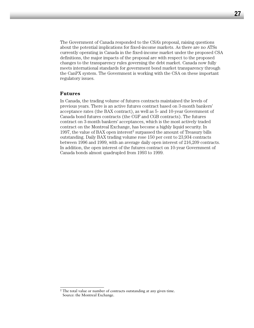The Government of Canada responded to the CSA's proposal, raising questions about the potential implications for fixed-income markets. As there are no ATSs currently operating in Canada in the fixed-income market under the proposed CSA definitions, the major impacts of the proposal are with respect to the proposed changes to the transparency rules governing the debt market. Canada now fully meets international standards for government bond market transparency through the CanPX system. The Government is working with the CSA on these important regulatory issues.

#### **Futures**

In Canada, the trading volume of futures contracts maintained the levels of previous years. There is an active futures contract based on 3-month bankers' acceptance rates (the BAX contract), as well as 5- and 10-year Government of Canada bond futures contracts (the CGF and CGB contracts). The futures contract on 3-month bankers' acceptances, which is the most actively traded contract on the Montreal Exchange, has become a highly liquid security. In 1997, the value of BAX open interest<sup>2</sup> surpassed the amount of Treasury bills outstanding. Daily BAX trading volume rose 150 per cent to 23,934 contracts between 1996 and 1999, with an average daily open interest of 216,209 contracts. In addition, the open interest of the futures contract on 10-year Government of Canada bonds almost quadrupled from 1993 to 1999.

<sup>&</sup>lt;sup>2</sup> The total value or number of contracts outstanding at any given time. Source: the Montreal Exchange.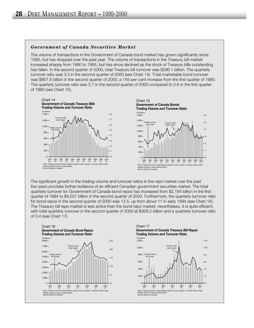#### *Government of Canada Securities Market*

The volume of transactions in the Government of Canada bond market has grown significantly since 1990, but has dropped over the past year. The volume of transactions in the Treasury bill market increased sharply from 1990 to 1995, but has since declined as the stock of Treasury bills outstanding has fallen. In the second quarter of 2000, total Treasury bill turnover was \$296.1 billion. The quarterly turnover ratio was 3.3 in the second quarter of 2000 (see Chart 14). Total marketable bond turnover was \$807.6 billion in the second quarter of 2000, a 145-per-cent increase from the first quarter of 1990. The quarterly turnover ratio was 2.7 in the second quarter of 2000 compared to 2.6 in the first quarter of 1990 (see Chart 15).



The significant growth in the trading volume and turnover ratios in the repo market over the past five years provides further evidence of an efficient Canadian government securities market. The total quarterly turnover for Government of Canada bond repos has increased from \$2,194 billion in the first quarter of 1994 to \$4,031 billion in the second quarter of 2000. Furthermore, the quarterly turnover ratio for bond repos in the second quarter of 2000 was 13.5, up from about 11 in early 1994 (see Chart 16). The Treasury bill repo market is less active than the bond repo market; nevertheless, it is quite efficient, with total quarterly turnover in the second quarter of 2000 at \$309.2 billion and a quarterly turnover ratio of 3.4 (see Chart 17).





1997 Q1 1998 Q1 1999 Q1 2000 Q1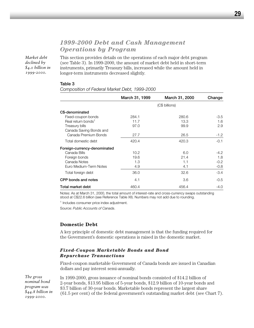# *1999-2000 Debt and Cash Management Operations by Program*

*Market debt declined by \$4.0 billion in 1999-2000.*

This section provides details on the operations of each major debt program (see Table 3). In 1999-2000, the amount of market debt held in short-term instruments, primarily Treasury bills, increased while the amount held in longer-term instruments decreased slightly.

#### **Table 3**

**March 31, 1999 March 31, 2000 Change** (C\$ billions) **C\$-denominated** Fixed-coupon bonds 284.1 280.6 -3.5 Real return bonds<sup>1</sup> 11.7 13.3 1.6 Treasury bills 6.9 and 1.9 and 1.9 and 1.9 and 1.9 and 1.9 and 1.9 and 1.9 and 1.9 and 1.9 and 1.9 and 1.9 and 1.9 and 1.9 and 1.9 and 1.9 and 1.9 and 1.9 and 1.9 and 1.9 and 1.9 and 1.9 and 1.9 and 1.9 and 1.9 and 1.9 and Canada Saving Bonds and Canada Premium Bonds 27.7 26.5 -1.2 Total domestic debt  $420.4$  420.3 -0.1 **Foreign-currency-denominated** Canada Bills **10.2** 6.0 -4.2 Foreign bonds 19.6 19.6 21.4 21.4 1.8 Canada Notes **1.3** 1.3 1.1 -0.2 Euro Medium-Term Notes  $4.9$   $4.1$   $4.1$   $-0.8$ Total foreign debt 36.0 32.6 -3.4 **CPP bonds and notes** 4.1 3.6 -0.5 **Total market debt** 460.4 456.4 456.4 456.4 456.4

*Composition of Federal Market Debt, 1999-2000* 

Notes: As at March 31, 2000, the total amount of interest-rate and cross-currency swaps outstanding stood at C\$22.6 billion (see Reference Table XII). Numbers may not add due to rounding.

<sup>1</sup> Includes consumer price index adjustment.

Source: *Public Accounts of Canada*.

#### **Domestic Debt**

A key principle of domestic debt management is that the funding required for the Government's domestic operations is raised in the domestic market.

#### *Fixed-Coupon Marketable Bonds and Bond Repurchase Transactions*

Fixed-coupon marketable Government of Canada bonds are issued in Canadian dollars and pay interest semi-annually.

*The gross nominal bond program was \$44.8 billion in 1999-2000.*

In 1999-2000, gross issuance of nominal bonds consisted of \$14.2 billion of 2-year bonds, \$13.95 billion of 5-year bonds, \$12.9 billion of 10-year bonds and \$3.7 billion of 30-year bonds. Marketable bonds represent the largest share (61.5 per cent) of the federal government's outstanding market debt (see Chart 7).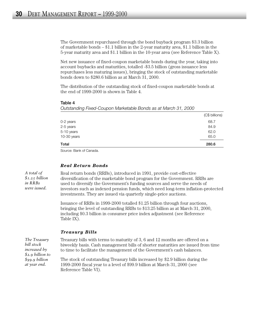The Government repurchased through the bond buyback program \$3.3 billion of marketable bonds – \$1.1 billion in the 2-year maturity area, \$1.1 billion in the 5-year maturity area and \$1.1 billion in the 10-year area (see Reference Table X).

Net new issuance of fixed-coupon marketable bonds during the year, taking into account buybacks and maturities, totalled -\$3.5 billion (gross issuance less repurchases less maturing issues), bringing the stock of outstanding marketable bonds down to \$280.6 billion as at March 31, 2000.

The distribution of the outstanding stock of fixed-coupon marketable bonds at the end of 1999-2000 is shown in Table 4.

#### **Table 4**

*Outstanding Fixed-Coupon Marketable Bonds as at March 31, 2000*

| Total       | 280.6          |
|-------------|----------------|
| 10-30 years | 65.0           |
| 5-10 years  | 62.0           |
| 2-5 years   | 84.9           |
| 0-2 years   | 68.7           |
|             | (C\$ billions) |

Source: Bank of Canada.

#### *Real Return Bonds*

*A total of \$1.25 billion in RRBs were issued.*

Real return bonds (RRBs), introduced in 1991, provide cost-effective diversification of the marketable bond program for the Government. RRBs are used to diversify the Government's funding sources and serve the needs of investors such as indexed pension funds, which need long-term inflation-protected investments. They are issued via quarterly single-price auctions.

Issuance of RRBs in 1999-2000 totalled \$1.25 billion through four auctions, bringing the level of outstanding RRBs to \$13.25 billion as at March 31, 2000, including \$0.3 billion in consumer price index adjustment (see Reference Table IX).

#### *Treasury Bills*

*The Treasury bill stock increased by \$2.9 billion to \$99.9 billion at year end.*

Treasury bills with terms to maturity of 3, 6 and 12 months are offered on a biweekly basis. Cash management bills of shorter maturities are issued from time to time to facilitate the management of the Government's cash balances.

The stock of outstanding Treasury bills increased by \$2.9 billion during the 1999-2000 fiscal year to a level of \$99.9 billion at March 31, 2000 (see Reference Table VI).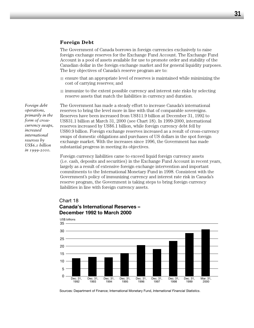#### **Foreign Debt**

The Government of Canada borrows in foreign currencies exclusively to raise foreign exchange reserves for the Exchange Fund Account. The Exchange Fund Account is a pool of assets available for use to promote order and stability of the Canadian dollar in the foreign exchange market and for general liquidity purposes. The key objectives of Canada's reserve program are to:

- ensure that an appropriate level of reserves is maintained while minimizing the cost of carrying reserves; and
- immunize to the extent possible currency and interest rate risks by selecting reserve assets that match the liabilities in currency and duration.

The Government has made a steady effort to increase Canada's international reserves to bring the level more in line with that of comparable sovereigns. Reserves have been increased from US\$11.9 billion at December 31, 1992 to US\$31.1 billion at March 31, 2000 (see Chart 18). In 1999-2000, international reserves increased by US\$6.1 billion, while foreign currency debt fell by US\$0.9 billion. Foreign exchange reserves increased as a result of cross-currency swaps of domestic obligations and purchases of US dollars in the spot foreign exchange market. With the increases since 1996, the Government has made substantial progress in meeting its objectives.

Foreign currency liabilities came to exceed liquid foreign currency assets (i.e. cash, deposits and securities) in the Exchange Fund Account in recent years, largely as a result of extensive foreign exchange intervention and important commitments to the International Monetary Fund in 1998. Consistent with the Government's policy of immunizing currency and interest rate risk in Canada's reserve program, the Government is taking steps to bring foreign currency liabilities in line with foreign currency assets.

#### Chart 18 **Canada's International Reserves – December 1992 to March 2000**



Sources: Department of Finance; International Monetary Fund, *International Financial Statistics*.

*Foreign debt operations, primarily in the form of crosscurrency swaps, increased international reserves by US\$6.1 billion in 1999-2000.*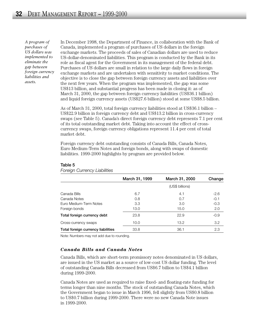*A program of purchases of US dollars was implemented to eliminate the gap between foreign currency liabilities and assets.*

In December 1998, the Department of Finance, in collaboration with the Bank of Canada, implemented a program of purchases of US dollars in the foreign exchange markets. The proceeds of sales of Canadian dollars are used to reduce US-dollar-denominated liabilities. This program is conducted by the Bank in its role as fiscal agent for the Government in its management of the federal debt. Purchases of US dollars are small in relation to the large daily flows in foreign exchange markets and are undertaken with sensitivity to market conditions. The objective is to close the gap between foreign currency assets and liabilities over the next few years. When the program was implemented, the gap was some US\$13 billion, and substantial progress has been made in closing it: as of March 31, 2000, the gap between foreign currency liabilities (US\$36.1 billion) and liquid foreign currency assets (US\$27.6 billion) stood at some US\$8.5 billion.

As of March 31, 2000, total foreign currency liabilities stood at US\$36.1 billion – US\$22.9 billion in foreign currency debt and US\$13.2 billion in cross-currency swaps (see Table 5). Canada's direct foreign currency debt represents 7.1 per cent of its total outstanding market debt. Taking into account the effect of crosscurrency swaps, foreign currency obligations represent 11.4 per cent of total market debt.

Foreign currency debt outstanding consists of Canada Bills, Canada Notes, Euro Medium-Term Notes and foreign bonds, along with swaps of domestic liabilities. 1999-2000 highlights by program are provided below.

|                                    | March 31, 1999 | March 31, 2000  | Change |
|------------------------------------|----------------|-----------------|--------|
|                                    |                | (US\$ billions) |        |
| Canada Bills                       | 6.7            | 4.1             | $-2.6$ |
| Canada Notes                       | 0.8            | 0.7             | $-0.1$ |
| Euro Medium-Term Notes             | 3.3            | 3.0             | $-0.3$ |
| Foreign bonds                      | 13.0           | 15.0            | 2.0    |
| Total foreign currency debt        | 23.8           | 22.9            | $-0.9$ |
| Cross-currency swaps               | 10.0           | 13.2            | 3.2    |
| Total foreign currency liabilities | 33.8           | 36.1            | 2.3    |

#### **Table 5**

*Foreign Currency Liabilities*

Note: Numbers may not add due to rounding.

#### *Canada Bills and Canada Notes*

Canada Bills, which are short-term promissory notes denominated in US dollars, are issued in the US market as a source of low-cost US dollar funding. The level of outstanding Canada Bills decreased from US\$6.7 billion to US\$4.1 billion during 1999-2000.

Canada Notes are used as required to raise fixed- and floating-rate funding for terms longer than nine months. The stock of outstanding Canada Notes, which the Government began to issue in March 1996, fell slightly from US\$0.8 billion to US\$0.7 billion during 1999-2000. There were no new Canada Note issues in 1999-2000.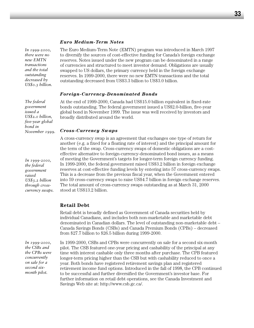#### *Euro Medium-Term Notes*

*In 1999-2000, there were no new EMTN transactions and the total outstanding decreased by US\$0.3 billion.*

*The federal government issued a US\$2.0 billion, five-year global bond in November 1999.*

*In 1999-2000, the federal government raised US\$3.2 billion through crosscurrency swaps.*

*In 1999-2000, the CSBs and the CPBs were concurrently on sale for a second sixmonth pilot.*

The Euro Medium-Term Note (EMTN) program was introduced in March 1997 to diversify the sources of cost-effective funding for Canada's foreign exchange reserves. Notes issued under the new program can be denominated in a range of currencies and structured to meet investor demand. Obligations are usually swapped to US dollars, the primary currency held in the foreign exchange reserves. In 1999-2000, there were no new EMTN transactions and the total outstanding decreased from US\$3.3 billion to US\$3.0 billion.

#### *Foreign-Currency-Denominated Bonds*

At the end of 1999-2000, Canada had US\$15.0 billion equivalent in fixed-rate bonds outstanding. The federal government issued a US\$2.0-billion, five-year global bond in November 1999. The issue was well received by investors and broadly distributed around the world.

#### *Cross-Currency Swaps*

A cross-currency swap is an agreement that exchanges one type of return for another (e.g. a fixed for a floating rate of interest) and the principal amount for the term of the swap. Cross-currency swaps of domestic obligations are a costeffective alternative to foreign-currency-denominated bond issues, as a means of meeting the Government's targets for longer-term foreign currency funding. In 1999-2000, the federal government raised US\$3.2 billion in foreign exchange reserves at cost-effective funding levels by entering into 57 cross-currency swaps. This is a decrease from the previous fiscal year, when the Government entered into 59 cross-currency swaps to raise US\$4.7 billion in foreign exchange reserves. The total amount of cross-currency swaps outstanding as at March 31, 2000 stood at US\$13.2 billion.

#### **Retail Debt**

Retail debt is broadly defined as Government of Canada securities held by individual Canadians, and includes both non-marketable and marketable debt denominated in Canadian dollars. The level of outstanding non-marketable debt – Canada Savings Bonds (CSBs) and Canada Premium Bonds (CPBs) – decreased from \$27.7 billion to \$26.5 billion during 1999-2000.

In 1999-2000, CSBs and CPBs were concurrently on sale for a second six-month pilot. The CSB featured one-year pricing and cashability of the principal at any time with interest cashable only three months after purchase. The CPB featured longer-term pricing higher than the CSB but with cashability reduced to once a year. Both bonds have registered retirement savings plan and registered retirement income fund options. Introduced in the fall of 1998, the CPB continued to be successful and further diversified the Government's investor base. For further information on retail debt operations, see the Canada Investment and Savings Web site at: http://www.csb.gc.ca/.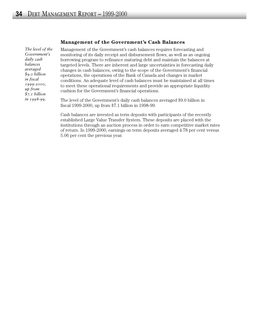*The level of the Government's daily cash balances averaged \$9.0 billion in fiscal 1999-2000, up from \$7.1 billion in 1998-99.*

#### **Management of the Government's Cash Balances**

Management of the Government's cash balances requires forecasting and monitoring of its daily receipt and disbursement flows, as well as an ongoing borrowing program to refinance maturing debt and maintain the balances at targeted levels. There are inherent and large uncertainties in forecasting daily changes in cash balances, owing to the scope of the Government's financial operations, the operations of the Bank of Canada and changes in market conditions. An adequate level of cash balances must be maintained at all times to meet these operational requirements and provide an appropriate liquidity cushion for the Government's financial operations.

The level of the Government's daily cash balances averaged \$9.0 billion in fiscal 1999-2000, up from \$7.1 billion in 1998-99.

Cash balances are invested as term deposits with participants of the recently established Large Value Transfer System. These deposits are placed with the institutions through an auction process in order to earn competitive market rates of return. In 1999-2000, earnings on term deposits averaged 4.78 per cent versus 5.06 per cent the previous year.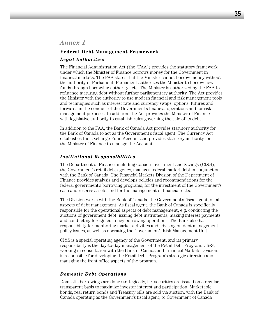#### **Federal Debt Management Framework**

#### *Legal Authorities*

The Financial Administration Act (the "FAA") provides the statutory framework under which the Minister of Finance borrows money for the Government in financial markets. The FAA states that the Minister cannot borrow money without the authority of Parliament. Parliament authorizes the Minister to borrow new funds through borrowing authority acts. The Minister is authorized by the FAA to refinance maturing debt without further parliamentary authority. The Act provides the Minister with the authority to use modern financial and risk management tools and techniques such as interest rate and currency swaps, options, futures and forwards in the conduct of the Government's financial operations and for risk management purposes. In addition, the Act provides the Minister of Finance with legislative authority to establish rules governing the sale of its debt.

In addition to the FAA, the Bank of Canada Act provides statutory authority for the Bank of Canada to act as the Government's fiscal agent. The Currency Act establishes the Exchange Fund Account and provides statutory authority for the Minister of Finance to manage the Account.

#### *Institutional Responsibilities*

The Department of Finance, including Canada Investment and Savings (CI&S), the Government's retail debt agency, manages federal market debt in conjunction with the Bank of Canada. The Financial Markets Division of the Department of Finance provides analysis and develops policies and recommendations for the federal government's borrowing programs, for the investment of the Government's cash and reserve assets, and for the management of financial risks.

The Division works with the Bank of Canada, the Government's fiscal agent, on all aspects of debt management. As fiscal agent, the Bank of Canada is specifically responsible for the operational aspects of debt management, e.g. conducting the auctions of government debt, issuing debt instruments, making interest payments and conducting foreign currency borrowing operations. The Bank also has responsibility for monitoring market activities and advising on debt management policy issues, as well as operating the Government's Risk Management Unit.

CI&S is a special operating agency of the Government, and its primary responsibility is the day-to-day management of the Retail Debt Program. CI&S, working in consultation with the Bank of Canada and Financial Markets Division, is responsible for developing the Retail Debt Program's strategic direction and managing the front office aspects of the program.

#### *Domestic Debt Operations*

Domestic borrowings are done strategically, i.e. securities are issued on a regular, transparent basis to maximize investor interest and participation. Marketable bonds, real return bonds and Treasury bills are sold via auction, with the Bank of Canada operating as the Government's fiscal agent, to Government of Canada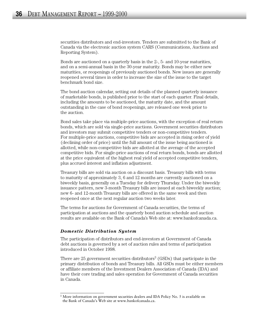securities distributors and end-investors. Tenders are submitted to the Bank of Canada via the electronic auction system CARS (Communications, Auctions and Reporting System).

Bonds are auctioned on a quarterly basis in the 2-, 5- and 10-year maturities, and on a semi-annual basis in the 30-year maturity. Bonds may be either new maturities, or reopenings of previously auctioned bonds. New issues are generally reopened several times in order to increase the size of the issue to the target benchmark bond size.

The bond auction calendar, setting out details of the planned quarterly issuance of marketable bonds, is published prior to the start of each quarter. Final details, including the amounts to be auctioned, the maturity date, and the amount outstanding in the case of bond reopenings, are released one week prior to the auction.

Bond sales take place via multiple-price auctions, with the exception of real return bonds, which are sold via single-price auctions. Government securities distributors and investors may submit competitive tenders or non-competitive tenders. For multiple-price auctions, competitive bids are accepted in rising order of yield (declining order of price) until the full amount of the issue being auctioned is allotted, while non-competitive bids are allotted at the average of the accepted competitive bids. For single-price auctions of real return bonds, bonds are allotted at the price equivalent of the highest real yield of accepted competitive tenders, plus accrued interest and inflation adjustment.

Treasury bills are sold via auction on a discount basis. Treasury bills with terms to maturity of approximately 3, 6 and 12 months are currently auctioned on a biweekly basis, generally on a Tuesday for delivery Thursday. Under the biweekly issuance pattern, new 3-month Treasury bills are issued at each biweekly auction; new 6- and 12-month Treasury bills are offered in the same week and then reopened once at the next regular auction two weeks later.

The terms for auctions for Government of Canada securities, the terms of participation at auctions and the quarterly bond auction schedule and auction results are available on the Bank of Canada's Web site at: www.bankofcanada.ca.

#### *Domestic Distribution System*

The participation of distributors and end-investors at Government of Canada debt auctions is governed by a set of auction rules and terms of participation introduced in October 1998.

There are 25 government securities distributors<sup>3</sup> (GSDs) that participate in the primary distribution of bonds and Treasury bills. All GSDs must be either members or affiliate members of the Investment Dealers Association of Canada (IDA) and have their core trading and sales operation for Government of Canada securities in Canada.

 $3$  More information on government securities dealers and IDA Policy No. 5 is available on the Bank of Canada's Web site at www.bankofcanada.ca.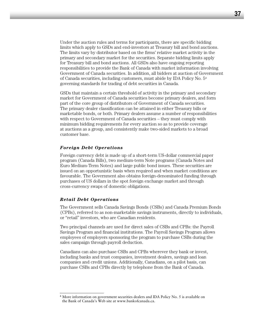Under the auction rules and terms for participants, there are specific bidding limits which apply to GSDs and end-investors at Treasury bill and bond auctions. The limits vary by distributor based on the firms' relative market activity in the primary and secondary market for the securities. Separate bidding limits apply for Treasury bill and bond auctions. All GSDs also have ongoing reporting responsibilities to provide the Bank of Canada with market information involving Government of Canada securities. In addition, all bidders at auction of Government of Canada securities, including customers, must abide by IDA Policy No. 54 governing standards for trading of debt securities in Canada.

GSDs that maintain a certain threshold of activity in the primary and secondary market for Government of Canada securities become primary dealers, and form part of the core group of distributors of Government of Canada securities. The primary dealer classification can be attained in either Treasury bills or marketable bonds, or both. Primary dealers assume a number of responsibilities with respect to Government of Canada securities – they must comply with minimum bidding requirements for every auction so as to provide coverage at auctions as a group, and consistently make two-sided markets to a broad customer base.

#### *Foreign Debt Operations*

Foreign currency debt is made up of a short-term US-dollar commercial paper program (Canada Bills), two medium-term Note programs (Canada Notes and Euro Medium-Term Notes) and large public bond issues. These securities are issued on an opportunistic basis when required and when market conditions are favourable. The Government also obtains foreign-denominated funding through purchases of US dollars in the spot foreign exchange market and through cross-currency swaps of domestic obligations.

#### *Retail Debt Operations*

The Government sells Canada Savings Bonds (CSBs) and Canada Premium Bonds (CPBs), referred to as non-marketable savings instruments, directly to individuals, or "retail" investors, who are Canadian residents.

Two principal channels are used for direct sales of CSBs and CPBs: the Payroll Savings Program and financial institutions. The Payroll Savings Program allows employees of employers sponsoring the program to purchase CSBs during the sales campaign through payroll deduction.

Canadians can also purchase CSBs and CPBs wherever they bank or invest, including banks and trust companies, investment dealers, savings and loan companies and credit unions. Additionally, Canadians, on a pilot basis, can purchase CSBs and CPBs directly by telephone from the Bank of Canada.

<sup>4</sup> More information on government securities dealers and IDA Policy No. 5 is available on the Bank of Canada's Web site at www.bankofcanada.ca.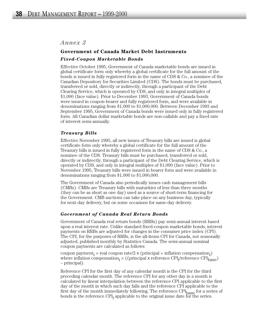## *Annex 2*

# **Government of Canada Market Debt Instruments** *Fixed-Coupon Marketable Bonds*

Effective October 1995, Government of Canada marketable bonds are issued in global certificate form only whereby a global certificate for the full amount of the bonds is issued in fully registered form in the name of CDS & Co., a nominee of the Canadian Depository for Securities Limited (CDS). The bonds must be purchased, transferred or sold, directly or indirectly, through a participant of the Debt Clearing Service, which is operated by CDS, and only in integral multiples of \$1,000 (face value). Prior to December 1993, Government of Canada bonds were issued in coupon-bearer and fully registered form, and were available in denominations ranging from \$1,000 to \$1,000,000. Between December 1993 and September 1995, Government of Canada bonds were issued only in fully registered form. All Canadian dollar marketable bonds are non-callable and pay a fixed rate of interest semi-annually.

#### *Treasury Bills*

Effective November 1995, all new issues of Treasury bills are issued is global certificate form only whereby a global certificate for the full amount of the Treasury bills is issued in fully registered form in the name of CDS & Co., a nominee of the CDS. Treasury bills must be purchased, transferred or sold, directly or indirectly, through a participant of the Debt Clearing Service, which is operated by CDS, and only in integral multiples of \$1,000 (face value). Prior to November 1995, Treasury bills were issued in bearer form and were available in denominations ranging from \$1,000 to \$1,000,000.

The Government of Canada also periodically issues cash management bills (CMBs). CMBs are Treasury bills with maturities of less than three months (they can be as short as one day) used as a source of short-term financing for the Government. CMB auctions can take place on any business day, typically for next-day delivery, but on some occasions for same-day delivery.

#### *Government of Canada Real Return Bonds*

Government of Canada real return bonds (RRBs) pay semi-annual interest based upon a real interest rate. Unlike standard fixed-coupon marketable bonds, interest payments on RRBs are adjusted for changes in the consumer price index (CPI). The CPI, for the purposes of RRBs, is the all-items CPI for Canada, not seasonally adjusted, published monthly by Statistics Canada. The semi-annual nominal coupon payments are calculated as follows:

coupon payment<sub>i</sub> = real coupon rate/2 x (principal + inflation compensation<sub>i</sub>) where inflation compensation<sub>i</sub> = ((principal x reference  $\text{CPI}_{\text{i}}\text{/reference } \text{CPI}_{\text{base}}$ ) – principal).

Reference CPI for the first day of any calendar month is the CPI for the third preceding calendar month. The reference CPI for any other day in a month is calculated by linear interpolation between the reference CPI applicable to the first day of the month in which such day falls and the reference CPI applicable to the first day of the month immediately following. The reference CPI<sub>base</sub> for a series of bonds is the reference  $\text{CPI}_i$  applicable to the original issue date for the series.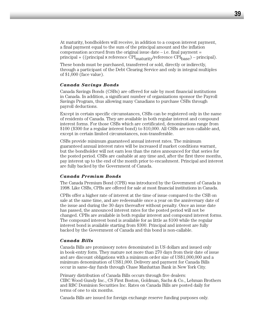At maturity, bondholders will receive, in addition to a coupon interest payment, a final payment equal to the sum of the principal amount and the inflation compensation accrued from the original issue date  $-$  i.e. final payment  $=$ principal + ((principal x reference  $\overline{CPI}_{\text{matter}}/$ reference  $\overline{CPI}_{\text{base}}$ ) – principal).

These bonds must be purchased, transferred or sold, directly or indirectly, through a participant of the Debt Clearing Service and only in integral multiples of \$1,000 (face value).

#### *Canada Savings Bonds*

Canada Savings Bonds (CSBs) are offered for sale by most financial institutions in Canada. In addition, a significant number of organizations sponsor the Payroll Savings Program, thus allowing many Canadians to purchase CSBs through payroll deductions.

Except in certain specific circumstances, CSBs can be registered only in the name of residents of Canada. They are available in both regular interest and compound interest forms. For those CSBs which are certificated, denominations range from \$100 (\$300 for a regular interest bond) to \$10,000. All CSBs are non-callable and, except in certain limited circumstances, non-transferable.

CSBs provide minimum guaranteed annual interest rates. The minimum guaranteed annual interest rates will be increased if market conditions warrant, but the bondholder will not earn less than the rates announced for that series for the posted period. CSBs are cashable at any time and, after the first three months, pay interest up to the end of the month prior to encashment. Principal and interest are fully backed by the Government of Canada.

#### *Canada Premium Bonds*

The Canada Premium Bond (CPB) was introduced by the Government of Canada in 1998. Like CSBs, CPBs are offered for sale at most financial institutions in Canada.

CPBs offer a higher rate of interest at the time of issue compared to the CSB on sale at the same time, and are redeemable once a year on the anniversary date of the issue and during the 30 days thereafter without penalty. Once an issue date has passed, the announced interest rates for the posted period will not be changed. CPBs are available in both regular interest and compound interest forms. The compound interest bond is available for as little as \$100 while the regular interest bond is available starting from \$300. Principal and interest are fully backed by the Government of Canada and this bond is non-callable.

#### *Canada Bills*

Canada Bills are promissory notes denominated in US dollars and issued only in book-entry form. They mature not more than 270 days from their date of issue and are discount obligations with a minimum order size of US\$1,000,000 and a minimum denomination of US\$1,000. Delivery and payment for Canada Bills occur in same-day funds through Chase Manhattan Bank in New York City.

Primary distribution of Canada Bills occurs through five dealers: CIBC Wood Gundy Inc., CS First Boston, Goldman, Sachs & Co., Lehman Brothers and RBC Dominion Securities Inc. Rates on Canada Bills are posted daily for terms of one to six months.

Canada Bills are issued for foreign exchange reserve funding purposes only.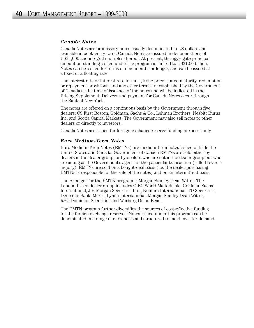#### *Canada Notes*

Canada Notes are promissory notes usually denominated in US dollars and available in book-entry form. Canada Notes are issued in denominations of US\$1,000 and integral multiples thereof. At present, the aggregate principal amount outstanding issued under the program is limited to US\$10.0 billion. Notes can be issued for terms of nine months or longer, and can be issued at a fixed or a floating rate.

The interest rate or interest rate formula, issue price, stated maturity, redemption or repayment provisions, and any other terms are established by the Government of Canada at the time of issuance of the notes and will be indicated in the Pricing Supplement. Delivery and payment for Canada Notes occur through the Bank of New York.

The notes are offered on a continuous basis by the Government through five dealers: CS First Boston, Goldman, Sachs & Co., Lehman Brothers, Nesbitt Burns Inc. and Scotia Capital Markets. The Government may also sell notes to other dealers or directly to investors.

Canada Notes are issued for foreign exchange reserve funding purposes only.

#### *Euro Medium-Term Notes*

Euro Medium-Term Notes (EMTNs) are medium-term notes issued outside the United States and Canada. Government of Canada EMTNs are sold either by dealers in the dealer group, or by dealers who are not in the dealer group but who are acting as the Government's agent for the particular transaction (called reverse inquiry). EMTNs are sold on a bought-deal basis (i.e. the dealer purchasing EMTNs is responsible for the sale of the notes) and on an intermittent basis.

The Arranger for the EMTN program is Morgan Stanley Dean Witter. The London-based dealer group includes CIBC World Markets plc, Goldman Sachs International, J.P. Morgan Securities Ltd., Nomura International, TD Securities, Deutsche Bank, Merrill Lynch International, Morgan Stanley Dean Witter, RBC Dominion Securities and Warburg Dillon Read.

The EMTN program further diversifies the sources of cost-effective funding for the foreign exchange reserves. Notes issued under this program can be denominated in a range of currencies and structured to meet investor demand.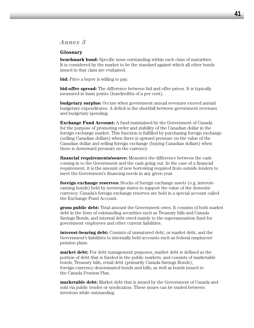# *Annex 3*

#### **Glossary**

**benchmark bond:** Specific issue outstanding within each class of maturities. It is considered by the market to be the standard against which all other bonds issued in that class are evaluated.

**bid:** Price a buyer is willing to pay.

**bid-offer spread:** The difference between bid and offer prices. It is typically measured in basis points (hundredths of a per cent).

**budgetary surplus:** Occurs when government annual revenues exceed annual budgetary expenditures. A deficit is the shortfall between government revenues and budgetary spending.

**Exchange Fund Account:** A fund maintained by the Government of Canada for the purpose of promoting order and stability of the Canadian dollar in the foreign exchange market. This function is fulfilled by purchasing foreign exchange (selling Canadian dollars) when there is upward pressure on the value of the Canadian dollar and selling foreign exchange (buying Canadian dollars) when there is downward pressure on the currency.

**financial requirements/source:** Measures the difference between the cash coming in to the Government and the cash going out. In the case of a financial requirement, it is the amount of new borrowing required from outside lenders to meet the Government's financing needs in any given year.

**foreign exchange reserves:** Stocks of foreign exchange assets (e.g. interestearning bonds) held by sovereign states to support the value of the domestic currency. Canada's foreign exchange reserves are held in a special account called the Exchange Fund Account.

**gross public debt:** Total amount the Government owes. It consists of both market debt in the form of outstanding securities such as Treasury bills and Canada Savings Bonds, and internal debt owed mainly to the superannuation fund for government employees and other current liabilities.

**interest-bearing debt:** Consists of unmatured debt, or market debt, and the Government's liabilities to internally held accounts such as federal employees' pension plans.

**market debt:** For debt management purposes, market debt is defined as the portion of debt that is funded in the public markets, and consists of marketable bonds, Treasury bills, retail debt (primarily Canada Savings Bonds), foreign-currency-denominated bonds and bills, as well as bonds issued to the Canada Pension Plan.

**marketable debt:** Market debt that is issued by the Government of Canada and sold via public tender or syndication. These issues can be traded between investors while outstanding.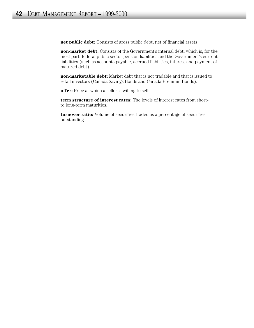**net public debt:** Consists of gross public debt, net of financial assets.

**non-market debt:** Consists of the Government's internal debt, which is, for the most part, federal public sector pension liabilities and the Government's current liabilities (such as accounts payable, accrued liabilities, interest and payment of matured debt).

**non-marketable debt:** Market debt that is not tradable and that is issued to retail investors (Canada Savings Bonds and Canada Premium Bonds).

**offer:** Price at which a seller is willing to sell.

**term structure of interest rates:** The levels of interest rates from shortto long-term maturities.

**turnover ratio:** Volume of securities traded as a percentage of securities outstanding.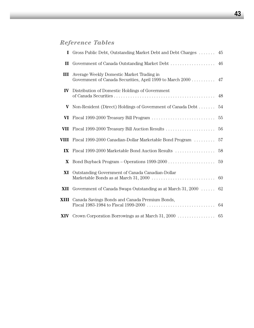# *Reference Tables*

|                         | I Gross Public Debt, Outstanding Market Debt and Debt Charges                                                                                  | 45 |
|-------------------------|------------------------------------------------------------------------------------------------------------------------------------------------|----|
| $\mathbf{H}$            | Government of Canada Outstanding Market Debt                                                                                                   | 46 |
| III                     | Average Weekly Domestic Market Trading in<br>Government of Canada Securities, April 1999 to March 2000 47                                      |    |
|                         | <b>IV</b> Distribution of Domestic Holdings of Government                                                                                      | 48 |
| V                       | Non-Resident (Direct) Holdings of Government of Canada Debt                                                                                    | 54 |
|                         | <b>VI</b> Fiscal 1999-2000 Treasury Bill Program $\ldots \ldots \ldots \ldots \ldots \ldots \ldots$                                            | 55 |
|                         | VII Fiscal 1999-2000 Treasury Bill Auction Results                                                                                             | 56 |
| VIII                    | Fiscal 1999-2000 Canadian-Dollar Marketable Bond Program                                                                                       | 57 |
| $\mathbf{I} \mathbf{X}$ | Fiscal 1999-2000 Marketable Bond Auction Results                                                                                               | 58 |
| X                       |                                                                                                                                                | 59 |
| XI                      | Outstanding Government of Canada Canadian-Dollar<br>Marketable Bonds as at March 31, 2000 $\dots\dots\dots\dots\dots\dots\dots\dots\dots\dots$ | 60 |
| XII                     | Government of Canada Swaps Outstanding as at March $31,2000$                                                                                   | 62 |
|                         | <b>XIII</b> Canada Savings Bonds and Canada Premium Bonds,                                                                                     | 64 |
|                         |                                                                                                                                                |    |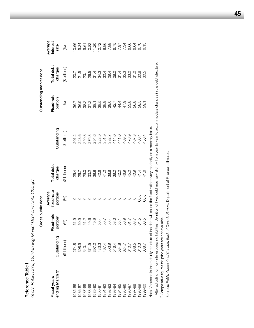|                                                                                                                       |                | Gross public debt     |                                               |                       |               | Outstanding market debt |                       |                             |
|-----------------------------------------------------------------------------------------------------------------------|----------------|-----------------------|-----------------------------------------------|-----------------------|---------------|-------------------------|-----------------------|-----------------------------|
| ending March 31<br>Fiscal years                                                                                       | Outstanding    | Fixed-rate<br>portion | fixed-rate<br>Average<br>portion <sup>2</sup> | Total debt<br>charges | Outstanding   | Fixed-rate<br>portion   | Total debt<br>charges | Average<br>interest<br>rate |
|                                                                                                                       | (\$ billions)  | $\mathcal{S}$         | $\mathcal{E}$                                 | (\$ billions)         | (\$ billions) | $\circledS$             | (\$ billions)         | 8                           |
| 1985-86                                                                                                               | 274.8          | 51.9                  |                                               | 25.4                  | 201.2         | 36.7                    | 20.7                  | 0.66                        |
| 1986-87                                                                                                               | 308.9          | 50.9                  |                                               | 26.7                  | 228.6         | 36.9                    | 21.5                  | 9.34                        |
| 1987-88                                                                                                               | 340.1          | 51.2                  |                                               | 29.0                  | 250.8         | 38.2                    | 23.1                  | $-9.61$                     |
| 1988-89                                                                                                               | 371.5          | 49.6                  |                                               | 33.2                  | 276.3         | 37.2                    | 26.5                  | 10.82                       |
| 1989-90                                                                                                               |                | 49.9                  |                                               | 38.8                  | 294.6         | 38.1                    |                       | 1.20                        |
| 1990-91                                                                                                               | 397.2<br>433.3 | 50.4                  |                                               | 42.6                  | 323.9         | 38.5                    | 34.3                  | 10.72                       |
| 1991-92                                                                                                               |                | 50.7                  |                                               | 41.2                  | 351.9         | 38.9                    | 32.4                  | 8.86                        |
| 1992-93                                                                                                               | 467.4<br>503.9 | 50.4                  |                                               | 38.8                  | 382.7         | 39.0                    | 29.4                  | 7.88                        |
| 1993-94                                                                                                               | 546.4          | 53.3                  |                                               | 38.0                  | 414.0         | 42.7                    | 28.0                  | 6.75                        |
| 1994-95                                                                                                               | 584.8          | 55.1                  |                                               | 42.0                  | 441.0         | 44.4                    | 31.4                  | 7.97                        |
| 1995-96                                                                                                               | 624.7          | 56.9                  |                                               | 46.9                  | 469.5         | 47.9                    | 35.3                  | 7.34                        |
| 1996-97                                                                                                               | 640.7          | 61.7                  |                                               | 45.0                  | 476.9         | 53.8                    | 33.0                  | 6.66                        |
| 1997-98                                                                                                               | 638.5          | 63.7                  |                                               | 40.9                  | 467.3         | 56.8                    | $-31.0$               | 6.64                        |
| 1998-99                                                                                                               | 640.3          | 64.5                  | 66.6                                          | 41.4                  | 460.4         | 58.5                    | 30.8                  | 6.70                        |
| 1999-00                                                                                                               | 638.7          | 66.5                  | 66.6                                          | 41.6                  | 456.4         | - 50.T                  | 30.5                  | 6.15                        |
| Note: Variances in the maturity structure of the debt will cause the fixed ratio to vary modestly on a monthly basis. |                |                       |                                               |                       |               |                         |                       |                             |

**Reference Table I**<br>Gross Public Debt, Outstanding Market Debt and Debt Charges *Gross Public Debt, Outstanding Market Debt and Debt Charges*

**Reference Table I** 

ו אטנפי. After adjusting for non-interest-bearing liabilities. Definition of fixed debt may vary slightly from year to year to accommodate changes in the debt structure.<br>1 After adjusting for non-interest-bearing liabilit After adjusting for non-interest-bearing liabilities. Definition of fixed debt may vary slightly from year to year to accommodate changes in the debt structure. ivote: variances in the maturity structure of tr

<sup>2</sup> Comparative figures for prior years are not available. Comparative figures for prior years are not available.

Sources: Public Accounts of Canada, Bank of Canada Review, Department of Finance estimates. Sources: *Public Accounts of Canada, Bank of Canada Review*, Department of Finance estimates.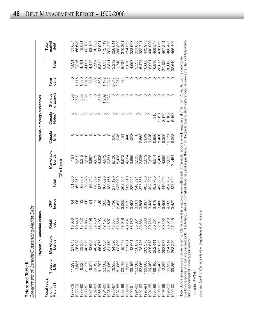|                    | <b>farket</b> Debt                |
|--------------------|-----------------------------------|
| Reference Table II | overnment of Canada Outstanding l |

|                                    |                   | Payable in Canadian dollars                                                                                                                       |                              |                    |         |                     |                 | Payable in foreign currencies |                     |                 |        |                         |
|------------------------------------|-------------------|---------------------------------------------------------------------------------------------------------------------------------------------------|------------------------------|--------------------|---------|---------------------|-----------------|-------------------------------|---------------------|-----------------|--------|-------------------------|
| Fiscal years<br>March 31<br>ending | Treasury<br>bills | Marketable<br>bonds                                                                                                                               | Retail<br>debt               | bonds<br><b>BP</b> | Total   | Marketable<br>bonds | Canada<br>Bills | Canada<br>Notes <sup>1</sup>  | drawings<br>Standby | loans<br>Term   | Total  | market<br>Total<br>debt |
|                                    |                   |                                                                                                                                                   |                              |                    |         | (C\$ millions)      |                 |                               |                     |                 |        |                         |
| 97-78                              | 11,295            | 21,645                                                                                                                                            | 036<br>$\infty$              |                    | 51,060  | $\frac{18}{1}$      |                 |                               | 850                 |                 | 1,031  | 51,664                  |
| 978-79                             | 13,535            | 26,988                                                                                                                                            | 443                          | 8                  | 60,062  | 3,319               |                 |                               | 2,782               | 1,115           | 7,216  | 66,640                  |
| $979 - 80$                         | 16,325            | 33,387                                                                                                                                            | 182<br>$\infty$              | $\frac{8}{10}$     | 68,007  | 3,312               |                 |                               | 359                 | 1,030           | 4,701  | 72,021                  |
| 1980-81                            | 21,770            | 40,976                                                                                                                                            | 966                          | 136                | 78,848  | 3,236               |                 |                               | 355                 | 1,046           | 4,637  | 83,138                  |
| $1981 - 82$                        | 19,375            | 43,605                                                                                                                                            | $\frac{8}{2}$                | 154                | 88,242  | 3,867               |                 |                               |                     | 550             | 4,417  | 93,167                  |
| 982-83                             | 29,125            | 48,473                                                                                                                                            | 753<br>1000000               | 171                | 110,522 | 4,872               |                 |                               | $\circ$             | 362             | 5,234  | 116,562                 |
| 1983-84                            | 41,700            | 56,976                                                                                                                                            | 403                          | 189                | 137,268 | 4,306               |                 |                               | 510                 | 398             | 5,214  | 142,901                 |
| 1984-85                            | 52,300            | 69,354                                                                                                                                            | 167<br>$\frac{4}{2}$         | 205                | 164,026 | 4,972               | $\circ$         |                               | 1,909<br>2,233      | 1,172           | 8,053  | 172,719                 |
| 985-86                             | 61,950            | 81,163                                                                                                                                            | 607                          | 445                | 188,165 | 9,331               |                 |                               |                     | 2,247           | 13,811 | 201,229                 |
| 1986-87                            | 76,950            | 94,520                                                                                                                                            | ,854<br>4 4 10 4<br>4 4 10 4 | 1,796              | 217,120 | 9,120               | 1,045           |                               |                     | 2,047           | 12,212 | 228,611                 |
| 1987-88                            | 81,050            | 103,899                                                                                                                                           | 558                          | 2,492              | 239,999 | 8,438               | 1,045           |                               |                     | 2,257           | 11,740 | 250,809                 |
| 988-89                             | 102,700           | 15,748                                                                                                                                            | 048                          | 3,005              | 268,501 | 6,672               | 1,131           |                               |                     | 934             | 8,737  | 276,301                 |
| 1989-90                            | 118,550           | 127,681                                                                                                                                           | 207<br>$\overline{a}$        | 3,072              | 289,510 | 4,364               | 1,446           |                               |                     |                 | 5,810  | 294,562                 |
| 1990-91                            | 139,150           | 143,601                                                                                                                                           | 782<br>ಐ ಏ ಐ                 | 3,492              | 320,025 | 3,555               | 1,008           |                               |                     | $\circ$ $\circ$ | 4,563  | 323,903                 |
| 991-92                             | 152,300           | 158,059                                                                                                                                           | $\overline{0}3$              | 3,501              | 348,891 | 3,535               |                 |                               |                     |                 | 3,535  | 351,885                 |
| 1992-93                            | 162,050           | 178,436                                                                                                                                           | ,884                         | 3,505              | 377,875 | 2,926               | 2,552           |                               |                     | $\circ$         | 5,478  | 382,741                 |
| 993-94                             | 66,00C            | 203,373                                                                                                                                           | 866<br>$\infty$              | 3,497              | 403,736 | 5,019               | 5,649           |                               | ⌒                   | $\circ$         | 10,668 | 413,975                 |
| 994-95                             | 64,450            | 225,513                                                                                                                                           | ,756<br>SO                   | 3,488              | 424,207 | 7,875               | 9,046           |                               | $\circ$             | $\circ$         | 16,921 | 440,998                 |
| 1995-96                            | 166,100           | 252,411                                                                                                                                           | $-801$<br>8                  | 3,478              | 452,790 | 9,514               | 6,986           | $\frac{0}{3}$                 | O                   | O               | 16,810 | 469,547                 |
| 996-97                             | 135,400           | 282,059                                                                                                                                           | $-51$<br>32                  | 3,468              | 453,838 | 2,460               | 8,436           |                               | $\circ$             | $\circ$         | 23,017 | 476,852                 |
| 997-98                             | 112,300           | 293,987                                                                                                                                           | 302<br><u>ခ</u>              | 3,456              | 440,045 | 14,590              | 9,356           | 2,121<br>3,176                | $\circ$             | $\circ$         | 27,122 | 467,291                 |
| 1998-99                            | 96,950            | 294,914                                                                                                                                           | 810<br>$^{8}$                | 4,063              | 424,737 | 19,655              | 10,171          | 6,182                         | $\circ$             | $\circ$         | 36,008 | 460,427                 |
| 1999-00                            | 99,850            | 293,250                                                                                                                                           | 115<br>72                    | 3,427              | 423,642 | 21,464              | 6,008           | 5,168                         |                     |                 | 32,640 | 456,406                 |
|                                    |                   | Nata: Subcation of Covemment of Canada debt is in accordance with Rank of Canada reports, which may vany slightly from Dublic Accounts categories |                              |                    |         |                     |                 |                               |                     |                 |        |                         |

Note: Subcategonzation of Government of Canada debt is in accordance with Bank of Canada reports, which may vary slightly from Public Accounts categories<br>due to differences in classification methods. The total outstanding due to differences in classification methods. The total outstanding market debt may not equal the sum of the parts due to slight differences between the Bank of Canada's Note: Subcategorization of Government of Canada debt is in accordance with Bank of Canada reports, which may vary slightly from Public Accounts categories and Department of Finance's numbers.

<sup>1</sup> Includes EMTNs. <sup>1</sup> Includes EMTNs.

Sources: Bank of Canada Review, Department of Finance. Sources: *Bank of Canada Review,* Department of Finance.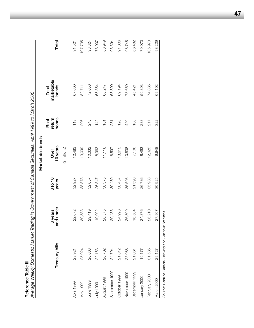| C |
|---|
|   |
|   |
|   |
|   |
|   |
|   |
|   |
|   |
|   |
|   |
|   |
|   |
|   |

**Reference Table III**<br>Average Weekly Domestic Market Trading in Government of Canada Securities, April 1999 to March 2000 *Average Weekly Domestic Market Trading in Government of Canada Securities, April 1999 to March 2000*

|                |                                                           |                      |                  | Marketable bonds |                         |                              |         |
|----------------|-----------------------------------------------------------|----------------------|------------------|------------------|-------------------------|------------------------------|---------|
|                | Treasury bills                                            | and under<br>3 years | 3 to 10<br>years | 10 years<br>Over | bonds<br>return<br>Real | marketable<br>bonds<br>Total | Total   |
|                |                                                           |                      |                  | (\$ millions)    |                         |                              |         |
| April 1999     | 23,921                                                    | 22,072               | 32,927           | 12,483           | 118                     | 67,600                       | 91,521  |
| May 1999       | 25,024                                                    | 30,533               | 38,873           | 13,099           | 206                     | 82,711                       | 107,735 |
| June 1999      | 20,668                                                    | 29,419               | 32,657           | 10,332           | 248                     | 72,656                       | 93,324  |
| 999 Ann        | 22,153                                                    | 19,902               | 26,847           | 8,963            | 142                     | 55,854                       | 78,007  |
| August 1999    | 20,702                                                    | 26,575               | 30,375           | 11,116           | $\frac{1}{8}$           | 68,247                       | 88,949  |
| September 1999 | 24,794                                                    | 29,433               | 30,489           | 8,597            | 281                     | 68,800                       | 93,594  |
| October 1999   | 21,812                                                    | 24,996               | 30,457           | 13,613           | 128                     | 69,194                       | 91,006  |
| November 1999  | 25,088                                                    | 26,809               | 35,593           | 10,838           | 420                     | 73,660                       | 98,748  |
| December 1999  | 21,061                                                    | 16,584               | 21,593           | 7,106            | 138                     | 45,421                       | 66,482  |
| January 2000   | 19,177                                                    | 24,376               | 26,786           | 8,493            | 238                     | 59,893                       | 79,070  |
| February 2000  | 31,585                                                    | 26,210               | 35,933           | 12,025           | 217                     | 74,385                       | 105,970 |
| March 2000     | 29,127                                                    | 27,907               | 30,925           | 9,948            | 322                     | 69,102                       | 98,229  |
|                | Source: Bank of Canada, Banking and Financial Statistics. |                      |                  |                  |                         |                              |         |

**47**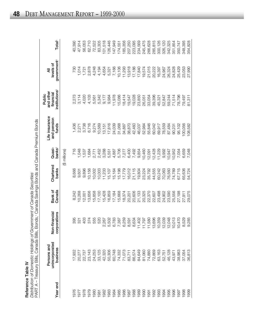| ¢ |
|---|
|   |
|   |
| ţ |
| C |
|   |
|   |
|   |

207,250 223,095 285,815 326,120 Rederence TabenVictor(strates of Government of Cairacta Securities and Cairacta Seminanten mondes<br>
Pedromoco TabenVictor (Sanada Savings Borots and Cairacta Premium Bonds<br>
PARTA – Treasury Bills, Canada ISB (Sanada Savings 245,475 342,325 348,395 1987 83,711 8,591 20,201 16,012 6,400 38,870 19,547 13,918 207,250 1988 86,574 8,634 20,606 21,115 7,492 42,460 19,028 17,186 223,095 234,569 0991,584,699 23,926,04 23,026,044 23,950,04 40,805,1,7 23,94,504 234,589 234,589 234,589 234,589 234 1990 81,060 11,797 20,325 23,224 10,460 52,984 26,051 19,574 245,475 266,628 1991 74,880 11,580 22,370 35,792 12,091 55,846 33,054 21,015 266,628 1992 72,869 13,696 22,607 44,555 12,428 60,042 39,396 20,222 285,815 300,126 1993 63,163 10,359 23,498 60,242 11,229 69,917 45,321 16,397 300,126 1994 52,751 12,039 24,902 70,063 9,992 78,559 52,847 24,967 326,120 1995 46,128 12,048 23,590 76,560 10,947 87,484 59,244 26,324 342,325 351,854 1996 43,971 10,013 25,556 74,789 10,952 90,231 71,514 24,828 351,854 350,747 1997 38,983 10,470 27,198 67,715 7,054 95,102 78,796 25,429 350,747 1998 37,054 8,529 27,911 65,636 6,659 100,056 79,497 23,053 348,395 354,828 1999 36,813 9,285 29,075 54,724 7,048 108,582 81,311 27,990 354,82813,918 17,186 17,840 19,574 21,015 16,397 24,828 25,429 23,053 20,222 24,967 26,324 27,990 19,547 19,028 23,850 39,396 52,847 59,244  $71,514$ 78,796 26,051 33,054 45,321 79,497  $81,311$ 55,846 69,917 78,559 95,102 38,870 42,460 46,037 60,042 100,056 52,984 87,484 90,231 108,582  $12,428$ 1,229 6,400 7,492 9,854 10,460 9,992 10,947 10,952 6,659 7,048  $12,091$ 7,054 21,115 16,012 19,804 23,224 35,792 44,555 60,242 70,063 76,560 74,789 67,715 65,636 54,724 20,606 21,133 20,325 22,370 22,607 23,498 24,902 23,590 25,556 27,198 29,075 20,201 27,911 13,696 10,359 12,039 12,048 10,013 10,470 8,529 9,285 8,634 11,402 11,797 11,580 8,591 86,574 84,649 74,880 72,869 36,813 83,711 81,060 63,163 52,751 46,128 43,971 38,983 37,054 1989 1993 1995 1996 1987 1988 1990 1992 1994 1997 1998 1991 1999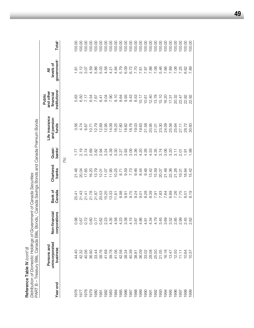| j<br>١<br>i      |
|------------------|
| ı                |
| ۷<br>f<br>r<br>ŀ |
|                  |

**Reference Table IV** (cont'd)<br>Distribution of Domestic Holdings of Government of Canada Securities<br>PART B – Treasury Bills, Canada Bills, Bonds, i Canada Savings Bonds and Canada Premium Bonds PART B – Treasury Bills, Canada Bills, Bonds,1 Canada Savings Bonds and Canada Premium Bonds *Distribution of Domestic Holdings of Government of Canada Securities*

| 」<br>ニ<br>ニ<br>ニ | , האנגר האנגר (, האנגר האנגר האנגר האנגר) (, האנגר האנגר האנגר האנגר האנגר האנגר האנגר האנגר האנגר ה |                                                                                                                                                                                    | ר אינדי אינדי אינדי אינדי אינדי אינדי אינדי אינדי אינדי אינדי אינדי אינדי אינדי אינדי אינדי אינדי אינדי אינדי א |                    |                              |                                        |                                                               |                                           |                    |
|------------------|------------------------------------------------------------------------------------------------------|------------------------------------------------------------------------------------------------------------------------------------------------------------------------------------|-----------------------------------------------------------------------------------------------------------------|--------------------|------------------------------|----------------------------------------|---------------------------------------------------------------|-------------------------------------------|--------------------|
| Year end         | unincorporated<br>Persons and<br>business                                                            | inancial<br>corporations<br>Non-fi                                                                                                                                                 | Bank of<br>Canada                                                                                               | Chartered<br>banks | banks <sup>2</sup><br>Quasi- | Life insurance<br>and pension<br>funds | institutions <sup>3</sup><br>and other<br>financial<br>Public | government <sup>4</sup><br>levels of<br>₹ | Total <sup>5</sup> |
|                  |                                                                                                      |                                                                                                                                                                                    |                                                                                                                 |                    | $\circledS$                  |                                        |                                                               |                                           |                    |
| 1976             | 44.40                                                                                                |                                                                                                                                                                                    |                                                                                                                 | 21.46              |                              | 3.56                                   | 5.63                                                          | 1.81                                      | 00.00              |
| 1977             | 42.32                                                                                                |                                                                                                                                                                                    | 20141<br>20142<br>2015                                                                                          | 20.04              | $7.77$<br>2.19<br>2.74       | 4.74                                   | 6.50                                                          | 2.12                                      | 100.00             |
| 1978             | 40.56                                                                                                |                                                                                                                                                                                    |                                                                                                                 | 17.65              |                              | 6.67                                   | 7.17                                                          | 3.07                                      | 100.00             |
| 1979             | 36.90                                                                                                |                                                                                                                                                                                    |                                                                                                                 | 16.20              | 2.69                         | 10.71                                  | 6.54                                                          | 4.59                                      | 100.00             |
| 1980             | 33.44                                                                                                |                                                                                                                                                                                    | 21.87                                                                                                           | 13.79              | 3.82                         | 12.79                                  | 7.67                                                          | 5.86                                      | 100.00             |
| 1981             | 39.76                                                                                                |                                                                                                                                                                                    | 20.53                                                                                                           | 12.01              | 2.94                         | 12.69                                  | 6.41                                                          |                                           | 100.00             |
| 1982             | 41.69                                                                                                |                                                                                                                                                                                    | 15.20                                                                                                           | 11.07              | 3.24                         | 12.95                                  | 9.04                                                          |                                           | 100.00             |
| 1983             | 39.78                                                                                                | 4.35                                                                                                                                                                               | 13.33                                                                                                           | 11.95              | 4.39                         | 14.09                                  | 7.90                                                          |                                           | 100.00             |
| 1984             | 41.06                                                                                                | 4.58<br>4.23                                                                                                                                                                       | 11.61                                                                                                           | 10.25              | $3.30$<br>$3.27$             | 16.25                                  | 8.10                                                          |                                           | 100.00             |
| 1985             | 42.58                                                                                                |                                                                                                                                                                                    | 8.98                                                                                                            | 8.71               |                              | 17.80                                  | 8.64                                                          |                                           | 100.00             |
| 1986             | 38.34                                                                                                |                                                                                                                                                                                    | 9.91                                                                                                            | 9.59               | 3.93                         | 18.82                                  | 9.93                                                          |                                           | 100.00             |
| 1987             | 40.39                                                                                                | $3.38$<br>$4.15$<br>$3.87$                                                                                                                                                         | 9.75                                                                                                            | 7.73               | 3.09                         | 18.76                                  | 9.43                                                          | 6.72<br>6.72                              | 100.00             |
| 1988             | 38.81                                                                                                |                                                                                                                                                                                    | 9.24                                                                                                            | 9.46               | 3.36                         | 19.03                                  | 8.53                                                          | 7.70                                      | 100.00             |
| 1989             | 36.09                                                                                                | $480\n85\n75\n47\n48\n49\n40\n47\n48\n49\n40\n41\n42\n43\n44\n45\n46\n47\n48\n49\n40\n41\n42\n43\n44\n45\n46\n47\n48\n49\n40\n41\n42\n43\n44\n45\n46\n48\n49\n40\n41\n42\n43\n44\$ | 9.01                                                                                                            | 8.44               | 4.20                         | 19.63                                  | 10.17                                                         |                                           | 100.00             |
| 1990             | 33.02                                                                                                |                                                                                                                                                                                    | 8.28                                                                                                            | 9.46               | 4.26                         | 21.58                                  | 10.61                                                         | $7.97$<br>7.97<br>7.88                    | 100.00             |
| 1991             | 28.08                                                                                                |                                                                                                                                                                                    | 8.39                                                                                                            | 13.42              | 4.53                         | 20.95                                  | 12.40                                                         |                                           | 100.00             |
| 1992             | 25.50                                                                                                |                                                                                                                                                                                    | 7.91                                                                                                            | 15.59              | 4.35                         | 21.01                                  | 13.78                                                         | 7.08                                      | 100.00             |
| 1993             | 21.05                                                                                                | 4.79<br>3.45                                                                                                                                                                       | 7.83                                                                                                            | 20.07              | 3.74                         | 23.30                                  | 15.10                                                         | 5.46                                      | 100.00             |
| 1994             | 16.18                                                                                                |                                                                                                                                                                                    | 7.64                                                                                                            | 21.48              | 3.06                         | 24.09                                  | 16.20                                                         | 7.66                                      | 100.00             |
| 1995             | 13.47                                                                                                |                                                                                                                                                                                    | 6.89                                                                                                            | 22.36              | 3.20                         | 25.56                                  | 17.31                                                         | 7.69                                      | 100.00             |
| 1996             | 12.50                                                                                                |                                                                                                                                                                                    | 7.26                                                                                                            | 21.26              | 3.11                         | 25.64                                  | 20.32                                                         | 7.06                                      | 100.00             |
| 1997             | 11.11                                                                                                | 2.99<br>2.45                                                                                                                                                                       | 7.75                                                                                                            | 19.31              | 2.01                         | 27.11                                  | 22.47                                                         | 7.25                                      | 100.00             |
| 1998             | 10.64                                                                                                |                                                                                                                                                                                    | $\overline{6}$                                                                                                  | 18.84              | $\frac{1}{9}$                | 28.72                                  | 22.82                                                         | 6.62                                      | 100.00             |
| 1999             | 10.37                                                                                                | 2.62                                                                                                                                                                               | 8.19                                                                                                            | 5.42               | 8                            | 30.60                                  | 22.92                                                         | 89                                        | 100.00             |
|                  |                                                                                                      |                                                                                                                                                                                    |                                                                                                                 |                    |                              |                                        |                                                               |                                           |                    |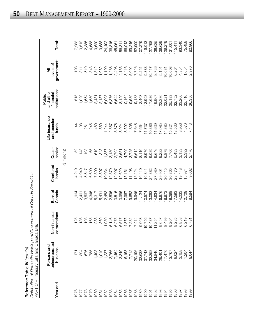| stribution of Domestic Holdings of Government of Canada Securiti<br>UPH Translin, Dilio and Canada Dilio |
|----------------------------------------------------------------------------------------------------------|
|                                                                                                          |

|          | Distribution of Domestic Holdings of Government of Canada Securities<br>PART C - Treasury Bills and Canada Bills<br>Reference Table IV $\langle \text{cont'} d \rangle$ |                                    |                   |                    |                     |                                        |                                                               |                                           |                    |
|----------|-------------------------------------------------------------------------------------------------------------------------------------------------------------------------|------------------------------------|-------------------|--------------------|---------------------|----------------------------------------|---------------------------------------------------------------|-------------------------------------------|--------------------|
| Year end | unincorporated<br>Persons and<br>business                                                                                                                               | nancial<br>corporations<br>Non-fil | Bank of<br>Canada | Chartered<br>banks | $banks^2$<br>Quasi- | Life insurance<br>and pension<br>funds | institutions <sup>3</sup><br>and other<br>financial<br>Public | government <sup>4</sup><br>levels of<br>₹ | Total <sup>5</sup> |
|          |                                                                                                                                                                         |                                    |                   |                    | (\$ millions)       |                                        |                                                               |                                           |                    |
| 976      |                                                                                                                                                                         | 25                                 | 1,964             | 4,219              | 52                  | 4                                      | 515                                                           | 193                                       | 7,283              |
| 1977     | $171$<br>394                                                                                                                                                            | 36                                 | 2,461             | 4,949              | 143                 | 88                                     | 1,020                                                         | 311                                       | 9,512              |
| 1978     | 576                                                                                                                                                                     | $\frac{8}{6}$                      | 3,567             | 5,517              | 193                 | 261                                    | 1,554                                                         | 519                                       | 12,385             |
| 1979     | 785                                                                                                                                                                     | 165                                | 4,345             | 6,690              | 89                  | 245                                    | 1,550                                                         | 843                                       | 14,688             |
| 1980     | ,493                                                                                                                                                                    | 288                                | 5,317             | 7,500              | 619                 | 460                                    | 2,431                                                         | 1,512                                     | 19,620             |
| 1981     | 1,019                                                                                                                                                                   | 369                                | 5,431             | 8,597              | 343                 | 560                                    | 2,187                                                         | 1,082                                     | 19,588             |
| 1982     | 1,237                                                                                                                                                                   |                                    | 2,483             | 10,034             | 1,357               | 1,244                                  | 5,008                                                         | 1,199                                     | 24,492             |
| 1983     | 3,766                                                                                                                                                                   |                                    | 2,595             | 12,879             | 3,180               | 2,587                                  | 5,376                                                         | 1,286                                     | 36,815             |
| 1984     | 7,454                                                                                                                                                                   |                                    | 3,515             | 12,997             | 2,792               | 3,876                                  | 6,544                                                         | 2,498                                     | 45,951             |
| 1985     | 13,340                                                                                                                                                                  |                                    | 3,985             | 12,629             | 3,651               | 3,924                                  | 8,129                                                         | 4,136                                     | 56,311             |
| 1986     | 16,158<br>17,712                                                                                                                                                        |                                    | 7,967             | 15,161             | 4,709               | 3,592                                  | 10,164                                                        | 3,416                                     | 66,042             |
| 1987     |                                                                                                                                                                         |                                    | 9,682             | 11,498             | 3,725               | 4,806                                  | 9,589                                                         | 5,002                                     | 69,246             |
| 1988     | 20,196                                                                                                                                                                  |                                    | 9,945             | 15,224             | 5,614               | 7,648                                  | 9,133                                                         | 7,726                                     | 82,900             |
| 1989     |                                                                                                                                                                         |                                    | 11,124            | 16,410             | 8,116               | 7,664                                  | 12,408                                                        | 9,251                                     | 107,279            |
| 1990     | 32,638<br>37,743<br>32,358<br>34,840                                                                                                                                    |                                    | 10,574            | 16,841             | 8,976               | 11,737                                 | 12,998                                                        | 9,388                                     | 19,013             |
| 1991     |                                                                                                                                                                         |                                    | 13,093            | 24,382             | 9,089               | 10,386                                 | 17,636                                                        | 10,417                                    | 127,798            |
| 1992     |                                                                                                                                                                         |                                    | 14,634            | 27,989             | 9,646               | 11,639                                 | 19,907                                                        | 8,726                                     | 38,635             |
| 1993     | 29,401                                                                                                                                                                  |                                    | 16,876            | 29,901             | 9,222               | 17,085                                 | 22,336                                                        | 5,151                                     | 39,629             |
| 1994     | 17,476                                                                                                                                                                  |                                    | 18,973            | 30,415             | 6,879               | 14,385                                 | 22,021                                                        | 10,631                                    | 129,279            |
| 1995     | 13,767                                                                                                                                                                  |                                    | 18,298            | 30,865             | 7,760               | 15,321                                 | 25,183                                                        | 10,603                                    | 131,001            |
| 1996     | 8,024                                                                                                                                                                   |                                    | 17,593            | 23,470             | 5,493               | 13,530                                 | 32,752                                                        | 6,264                                     | 115,411            |
| 1997     | 3,158                                                                                                                                                                   |                                    | 14,233            | 19,448             | 3,133               | 8,956                                  | 33,200                                                        | 4,354                                     | 93,340             |
| 1998     | 1,204                                                                                                                                                                   | 6,219<br>6,731                     | 10,729            | 15,974             | 2,392               | 4,570                                  | 32,716                                                        | 1,654                                     | 75,458             |
| 1999     | 9,044                                                                                                                                                                   |                                    | 8,584             | 9,062              | 2,776               | 7,443                                  | 36,356                                                        | 2,970                                     | 82,966             |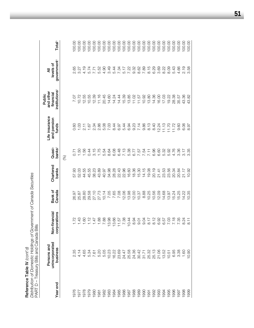Distribution of Domestic Holdings of Government of Canada Securities *Distribution of Domestic Holdings of Government of Canada Securities* PART D - Treasury Bills and Canada Bills PART D – Treasury Bills and Canada Bills Reference Table IV (cont'd) **Reference Table IV** *(cont'd)*

Total<sup>5</sup> 00.00  $00.00$ 00.00 00.00  $00.00$  $00.00$  $00.00$ 100.00 100.00 100.00 00.00 100.00 00.00 00.00 00.00 00.00 00.00 100.00 00.00 00.00 00.00  $00.00$ 00.00 00.00 **Year end business corporations Canada banks banks**2 **funds institutions**3 **government**4 **Total**5 1976 2.35 1.72 26.97 57.93 0.71 0.60 7.07 2.65 100.00 1977 4.14 1.43 25.87 52.03 1.50 1.03 10.72 3.27 100.00 1978 4.65 1.60 28.80 44.55 1.56 2.11 12.55 4.19 100.00 1979 5.34 1.12 29.58 45.55 0.44 1.67 10.55 5.74 100.00 1980 12.34 1.47 2.34 1.47 2.34 3.34 12.39 3.34 12.39 12.39 12.39 12.39 12.39 12.34 12.1 1981 5.20 1.88 27.73 43.89 1.75 2.86 11.16 5.52 100.00 1982 5.05 7.88 10.14 40.97 5.54 5.08 20.45 4.90 100.00 1983 10.23 13.98 7.05 34.98 8.64 7.03 14.60 3.49 100.00 1984 16.22 16.22 16.56 28.28 6.08 6.08 7.66 7.66 28.28 8.44 14.24 5.44 5.44 5.44 16.24 14.24 5.44 14.24 14.24 14.24 14.24 14.24 14.24 14.24 14.24 14.24 14.25 100.00 1985 23.69 14.44 14.44 14.44 14.44 14.44 14.44 14.44 14.44 14.44 14.44 14.44 14.44 14.44 14.44 14.44 14.44 14.4 1986 24.47 7.38 12.06 22.96 7.13 5.44 15.39 5.17 100.00 1987 25.58 10.44 13.98 16.60 5.38 6.94 13.85 7.22 100.00 1988 24.36 8.94 12.00 18.36 6.77 9.23 11.02 9.32 100.00 1989 30.42 11.57 11.42 11.57 15.57 15.57 15.57 15.57 15.57 15.57 15.57 11.57 11.57 11.57 11.57 11.57 11.57 11.5 00001 9.89 10.02 10.000 32.89 10.00 32.89 10.00 10.00 10.00 10.00 10.00 10.00 10.00 10.00 10.00 10.00 10.00 10 1991 25.32 8.17 8.17 8.17 10.25 10.00 19.00 10.25 13.80 13.80 15.815 1992 25.13 8.13 8.12 8.10 9.056 6.96 6.96 8.10 14.36 14.36 8.29 14.36 8.13 001001 2003 21.24 12.24 12.24 12.24 12.24 12.24 12.24 12.24 12.24 12.24 12.24 12.24 12.24 12.24 12.24 12.24 16.00 1994 13.52 6.57 14.68 23.53 5.32 11.13 17.03 8.22 100.00 1995 10.51 10.51 10.51 10.51 13.97 13.92 13.92 12.01 12.01 19.22 19.09 100.00 1996 6.95 7.18 15.24 20.34 4.76 11.72 28.38 5.43 100.00 1997 3.38 1997 3.38 1998 3.36 1998 3.36 1998 3.36 1998 3.36 1999 3.36 100.000 3.466 100.000 3.466 100.000 3.46 1998 1.60 1.60 1.4.22 1.4.22 1.4.22 1.4.22 1.4.22 1.60 8.06 2.19 1.98 1.98 1.98 1.98 1.00 1.00 1.00 1.00 1.00 1 1999 10.90 8.11 10.35 10.92 3.35 8.97 43.82 3.58 100.00government<sup>4</sup> levels of **unincorporated Non-financial Bank of Chartered Quasi- and pension financial levels of** 8.15<br>6.29 5.43 2.65 3.27 4.19 5.74  $7.71$ <br>5.52<br>4.90 3.49 5.44 7.34 5.17 7.22  $3.32$ <br> $0.62$ <br> $7.89$ 3.69 8.22 8.09 4.66 2.19<br>3.58 ₹ **Persons and Life insurance and other All** institutions<sup>3</sup> and other financial **Public** 12.55 12.39  $11.16$ 20.45 14.60 14.44 15.39 13.85  $11.02$ 10.92 13.80 14.36 16.00 17.03 19.22 28.38 43.36<br>43.82 7.07  $10.72$ 10.55 14.24 11.57 35.57 Life insurance<br>and pension 2.86 5.08 7.03 8.44 6.97 5.44 6.94 9.23 7.14 9.86  $8.13$ 8.40  $12.24$  $11.13$  $11.70$  $11.72$ 9.60  $1.03$  $2.11$ 1.67 2.34 6.06<br>8.97 funds  $0.60$ Quasi-<br>banks<sup>2</sup> 1.75 6.48 7.13 5.38 6.96 1.56 0.44  $3.15$ 5.54 8.64 6.08 6.77 7.57 7.54 6.60 5.32 5.92 4.76 3.36 3.35  $7.11$  $3.17$  $0.71$  $1.50$ (%) Chartered<br>banks 18.36  $14.15$ 19.08 20.19 23.56 57.93 52.03 44.55 45.55 38.23 43.89 40.97 34.98 28.28 22.43 22.96 16.60 15.30  $21.41$ 23.53 20.34 20.84 21.17 10.92 Bank of<br>Canada 7.05 7.65 7.08 12.06 13.98  $12.00$ 8.88 10.25 10.56 12.09 14.68 15.25 10.35 26.97 25.87 28.80 29.58 27.10 27.73  $10.14$ 10.37 13.97 15.24 14.22 Non-financial corporations 1.88 7.88  $11.57$ <br>7.38 8.17  $8.12$ 6.92 6.57 7.03  $7.18$ 7.35  $1.72$ 1.43  $1,60$  $1.12$  $1.47$ 13.98 13.66  $10.44$ 8.94  $9.01$  $9.04$ 8.24  $8.11$ Persons and<br>unincorporated business 4.14 5.34 5.20 5.05 10.23 16.22 23.69 24.47 25.58 24.36 30.42 25.32 25.13 21.06 13.52 6.95 3.38 2.35 4.65 7.61  $31.71$  $10.51$ 1.60  $0.90$ Year end 1985 1986 1988 1989 1990 1992 1993 1995 1996 1998 1976 1978 1979 1980 1982 1983 1984 1987 1994 1997 1999 1977 1981 1991

**51**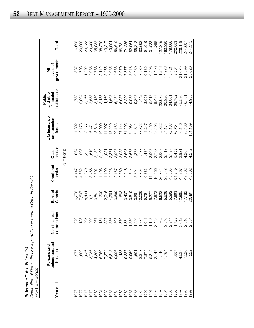| Reference Table IV $\langle \text{cont'} d \rangle$                  |
|----------------------------------------------------------------------|
| Distribution of Domestic Holdings of Government of Canada Securities |
| PART E – Bonds1                                                      |

| Year end     | unincorporated<br>Persons and<br>business                  | corporations<br>nancial<br>Non-fir                                                    | Canada<br>Bank of | Chartered<br>banks | $banks^2$<br>Quasi- | Life insurance<br>and pension<br>funds | institutions <sup>3</sup><br>and other<br>financial<br>Public | government <sup>4</sup><br>levels of<br>₹ | Total <sup>5</sup> |
|--------------|------------------------------------------------------------|---------------------------------------------------------------------------------------|-------------------|--------------------|---------------------|----------------------------------------|---------------------------------------------------------------|-------------------------------------------|--------------------|
|              |                                                            |                                                                                       |                   |                    | (\$ millions)       |                                        |                                                               |                                           |                    |
| 1976         |                                                            |                                                                                       | 6,278             | 4,447              | 68                  |                                        | 1,758                                                         | 537                                       | 16,623             |
| 1977         | 1,277<br>1,690                                             | 270<br>185                                                                            | 7,807             | 4,652              | 905                 | 1,392<br>2,173                         | 2,094                                                         | 703                                       | 20,209             |
| 1978         |                                                            | 205                                                                                   | 8,434             | 4,379              | 1,344               | 3,477                                  | 2,466                                                         | 1,202                                     | 23,433             |
| 1979         | 1,926<br>3,736                                             | 209                                                                                   | 9,311             | 3,466              |                     | 6,471                                  | 2,553                                                         | 2,035                                     | 29,400             |
| 1980         | 4,890                                                      | 267                                                                                   | 10,541            | 2,502              | $1,619$<br>2,152    | 8,814                                  | 3,130                                                         | 2,736                                     | 35,032             |
| 1981         | 6,759<br>7,374<br>6,813<br>9,906                           | 151                                                                                   | 11,669            | 1,406              | 2,109               | 10,009                                 | 3,155                                                         | 3,112                                     | 38,370             |
|              |                                                            | 337                                                                                   | 12,945            | 1,199              | 1,931               | 11,907                                 | 4,169                                                         | 3,455                                     | 43,317             |
| 1982<br>1983 |                                                            | 356                                                                                   | 14,264            | 2,228              |                     | 15,229                                 | 4,608                                                         | 4,035                                     | 49,904             |
| 1984         |                                                            | 508                                                                                   | 13,669            | 2,167              |                     | 20,163                                 | 5,434                                                         | 4,668                                     | 58,610             |
| 1985         | 11,483                                                     | 870                                                                                   | 11,683            | 2,569              |                     | 27,144                                 | 6,957                                                         | 5,970                                     | 68,731             |
| 1986         | 9,827                                                      | ,384                                                                                  | 10,407            | 2,618              |                     | 31,295                                 | 8,250                                                         | 7,877                                     | 74,226             |
|              |                                                            |                                                                                       | 10,519            | 4,514              |                     | 34,064                                 | 9,958                                                         | 8,916                                     | 82,964             |
| 1987<br>1988 |                                                            |                                                                                       | 10,661            | 5,891              |                     | 34,812                                 | 9,895                                                         | 9,460                                     | 85,318             |
| 1989<br>1990 | 10,959<br>11,501<br>10,874 5<br>10,874 5<br>1,764<br>1,764 | $1,359$<br>$1,220$<br>$1,734$<br>$1,143$<br>$1,143$                                   | 10,009            | 3,394              |                     | 38,373                                 | 11,442                                                        | 8,589                                     | 83,592             |
|              |                                                            |                                                                                       | 9,751             | 6,383              |                     | 41,247                                 | 13,053                                                        | 10,186                                    | 91,019             |
| 1991         |                                                            |                                                                                       | 9,277             | 11,410             |                     | 45,460                                 | 15,418                                                        | 10,598                                    | IO1,523            |
| 1992<br>1993 |                                                            |                                                                                       | 7,973             | 16,566             |                     | 48,403                                 | 19,489                                                        | 11,496                                    | 111,298            |
|              |                                                            |                                                                                       | 6,622             | 30,341             |                     | 52,832                                 | 22,985                                                        | 11,246                                    | 127,875            |
| 1994         |                                                            |                                                                                       | 5,929             | 39,648             | $3,113$<br>$3,187$  | 64,174                                 | 30,826                                                        | 14,336                                    | 163,330            |
| 1995         |                                                            |                                                                                       | 5,292             | 45,695             |                     | 72,163                                 | 34,061                                                        | 15,721                                    | 178,966            |
| 1996         |                                                            |                                                                                       | 7,963             | 51,319             | 5,459               | 76,701                                 | 38,762                                                        | 18,564                                    | 202,053            |
| 1997         |                                                            |                                                                                       | 12,965            | 48,267             | 3,921               | 86,146                                 | 45,596                                                        | 21,075                                    | 226,119            |
| 1998         | 1,557<br>4,537<br>7,520<br>7,522                           | 2<br>4 7 8 9 9 7 8 9 0 1<br>4 7 9 9 9 0 0 0 1<br>4 7 8 9 0 0 0 1<br>4 0 0 1 0 0 1 0 1 | 17,182            | 49,662             | 4,267               | 95,486                                 | 46,781                                                        | 21,399                                    | 244,607            |
| 1999         |                                                            |                                                                                       | 20,491            | 45,662             | 4,272               | O1,139                                 | 44,955                                                        | 25,020                                    | 244,315            |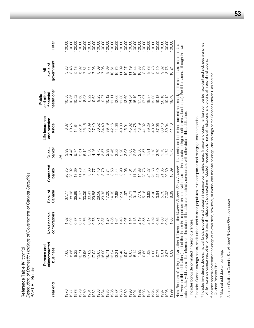Distribution of Domestic Holdings of Government of Canada Securities *Distribution of Domestic Holdings of Government of Canada Securities* Reference Table IV (cont'd) **Reference Table IV** *(cont'd)* PART F - Bonds<sup>1</sup> PART F – Bonds1

|          | Persons and                |                               |                         |                    |                                             | Life insurance                           | and other<br>Public                    |                                             |                                                                               |
|----------|----------------------------|-------------------------------|-------------------------|--------------------|---------------------------------------------|------------------------------------------|----------------------------------------|---------------------------------------------|-------------------------------------------------------------------------------|
| Year end | unincorporated<br>business | Non-financial<br>corporations | Bank of<br>Canada       | Chartered<br>banks | Quasi-<br>bank $\mathbf{s}^2$               | and pension<br>funds                     | institutions <sup>3</sup><br>financial | government <sup>4</sup><br>All<br>levels of | Total <sup>5</sup>                                                            |
|          |                            |                               |                         |                    | $\circledast$                               |                                          |                                        |                                             |                                                                               |
| 1976     | 7.68                       |                               |                         |                    |                                             | 8.37                                     |                                        |                                             | 100.00                                                                        |
| 1977     |                            |                               | 37.77<br>38.63<br>35.99 | 26.75<br>23.02     | 8 3 4 5 5 5 6<br>8 4 5 5 5 6<br>8 4 5 5 7 8 | 10.75                                    | 10.58<br>10.36                         |                                             | 100.00                                                                        |
|          | 8.30<br>8.22               |                               |                         | 18.69              |                                             | 14.84                                    | 10.52                                  |                                             | 100.00                                                                        |
|          | 12.71                      |                               | 31.67                   | 11.79              |                                             |                                          | 8.68                                   |                                             | 100.00                                                                        |
|          | 13.96                      |                               | 30.09                   | 7.14               |                                             | 22.01<br>25.16<br>26.09                  | 8.93                                   |                                             |                                                                               |
|          | 17.62                      |                               | 30.41                   |                    |                                             |                                          |                                        |                                             |                                                                               |
|          | 17.02                      |                               | 29.88                   |                    |                                             | 27.49                                    | လ္လ လ္လ<br>လ တ တ<br>လ တ တ              |                                             |                                                                               |
|          | 13.65                      |                               | 28.58                   |                    |                                             | 30.52                                    |                                        |                                             |                                                                               |
|          | 16.90                      |                               |                         |                    |                                             | 34.40                                    |                                        |                                             |                                                                               |
|          | 16.71                      |                               | 23.32<br>17.00          |                    |                                             | 39.49                                    |                                        |                                             |                                                                               |
|          | 13.24                      |                               |                         |                    |                                             | 42.16                                    |                                        |                                             |                                                                               |
|          | 13.21                      | 1.64                          |                         |                    |                                             | 41.06                                    |                                        |                                             |                                                                               |
|          | 13.48                      |                               |                         |                    |                                             |                                          |                                        |                                             |                                                                               |
|          | 9.94                       |                               |                         |                    |                                             |                                          |                                        |                                             |                                                                               |
|          | 8.65<br>5.14               | $70770007$ $70770007$         |                         |                    |                                             | $45.30$<br>$45.32$<br>$45.32$<br>$44.78$ |                                        |                                             |                                                                               |
|          |                            |                               |                         |                    |                                             |                                          |                                        |                                             | 100.00                                                                        |
|          | 1.93                       |                               |                         |                    |                                             | 43.49                                    |                                        |                                             |                                                                               |
|          | 0.89                       |                               |                         |                    |                                             | 41.32                                    |                                        |                                             |                                                                               |
|          | 1.08                       |                               |                         | 24.27<br>25.53     |                                             | 39.29                                    |                                        |                                             | $\begin{array}{c} 100.00 \\ 100.00 \\ 100.00 \\ 100.00 \\ 100.00 \end{array}$ |
|          | <b>O.OO</b>                | 1.59                          |                         |                    |                                             | 40.32<br>37.96                           |                                        |                                             |                                                                               |
|          | 0.77                       | $0.86$<br>1.60                |                         | 25.40              |                                             |                                          |                                        |                                             |                                                                               |
|          | $2.01$<br>$3.07$           |                               |                         | 21.35              |                                             | 38.10                                    |                                        |                                             | 100.00                                                                        |
| 1998     |                            | 0.94                          |                         | 20.30              |                                             | 39.04                                    | 20.16<br>19.12                         |                                             | 100.00                                                                        |
| 999      | 0.09                       | 1.05                          |                         | 18.69              |                                             | 41.40                                    | 18.40                                  |                                             | 100.00                                                                        |
|          |                            |                               |                         |                    |                                             |                                          |                                        |                                             |                                                                               |

Note: Because of timing and valuation differences, the *National Balance Sheet Accounts* data contained in this table are not necessarily on the same basis as other data<br>elsewhere in this publication (most of the data in t Note: Because of timing and valuation differences, the *National Balance Sheet Accounts* data contained in this table are not necessarily on the same basis as other data elsewhere in this publication (most of the data in this report are on a par value basis – that is, outstanding securities are valued at par). For this reason, although the two sets of data yield very similar information, the data in this table are not strictly comparable with other data in this publication.

<sup>1</sup> Includes bonds denominated in foreign currencies. <sup>1</sup> Includes bonds denominated in foreign currencies. <sup>2</sup> Includes Quebec savings banks, credit unions and caisses populaires, trust companies and mortgage loan companies. Includes Quebec savings banks, credit unions and caisses populaires, trust companies and mortgage loan companies.

<sup>3</sup> Includes investment dealers, mutual funds, property and casualty insurance companies, sales, finance and consumer loan companies, accident and sickness branches<br>of life insurance companies, other private financial inst Includes investment dealers, mutual funds, property and casualty insurance companies, sales, finance and consumer loan companies, accident and sickness branches of life insurance companies, other private financial institutions (not elsewhere included), federal public financial institutions, and provincial financial institutions.

<sup>4</sup> Includes federal government holdings of its own debt, provincial, municipal and hospital holdings, and holdings of the Canada Pension Plan and the Includes federal government holdings of its own debt, provincial, municipal and hospital holdings, and holdings of the Canada Pension Plan and the Quebec Pension Plan. Quebec Pension Plan.

<sup>5</sup> May not add due to rounding. May not add due to rounding.

Source: Statistics Canada, The National Balance Sheet Accounts. Source: Statistics Canada, *The National Balance Sheet Accounts.*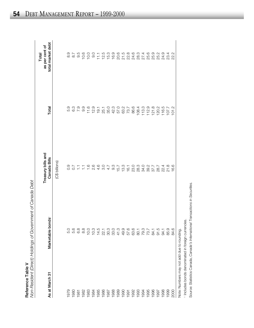|                                         | $\frac{1}{1}$<br>I I <del>c</del> i Il VI Cal Iaua Deu<br>こうこう                              |
|-----------------------------------------|---------------------------------------------------------------------------------------------|
| Anca Tahle I<br>)<br>2<br><b>Refere</b> | on-Becident (Direct) Holdinas of Government of Canada De<br>١<br>.<br>.<br>.<br>.<br>j<br>į |

| As at March 31                            | Marketable bonds | Treasury bills and<br>Canada Bills | Total                                                                                           | total market debt<br>as per cent of<br>Total                                    |
|-------------------------------------------|------------------|------------------------------------|-------------------------------------------------------------------------------------------------|---------------------------------------------------------------------------------|
|                                           |                  | (C\$ billions)                     |                                                                                                 |                                                                                 |
| 1979                                      | 5.0              |                                    |                                                                                                 |                                                                                 |
| 1980                                      |                  |                                    | $\begin{array}{ccc} \circ & \circ & \circ & \circ \\ \circ & \circ & \circ & \circ \end{array}$ | $\begin{array}{ccc} \circ & \circ & \circ \\ \circ & \circ & \circ \end{array}$ |
| 1981                                      | 6.8<br>6.8       |                                    |                                                                                                 |                                                                                 |
| 1982                                      | 8.8              |                                    |                                                                                                 | 10.6                                                                            |
| 1983                                      | 10.0             |                                    | 11.6                                                                                            | 10.0                                                                            |
| 1984                                      | 10.3             |                                    | 12.9                                                                                            | 0.0                                                                             |
| 1985                                      |                  |                                    | 19.1                                                                                            | $\frac{1}{11}$                                                                  |
| 1986                                      |                  | $\frac{0}{3}$                      |                                                                                                 |                                                                                 |
| 1987                                      |                  | 4.7                                | 25.1<br>35.0                                                                                    | $12.3$<br>$15.3$                                                                |
| 1988                                      |                  | $9.3$<br>15.7                      |                                                                                                 | 16.9                                                                            |
| 1989                                      |                  |                                    | 42.3<br>57.0                                                                                    |                                                                                 |
| 1990                                      |                  | 13.3                               | 63.7<br>73.7                                                                                    |                                                                                 |
| 1991                                      |                  | 16.1                               |                                                                                                 |                                                                                 |
| 1992                                      |                  | <b>23.0</b>                        | 86.6                                                                                            |                                                                                 |
| 1993                                      |                  | 28.3<br>34.0                       | 108.4                                                                                           | 8 5 8 9 9 9 9 9<br>8 7 8 9 9 9 9<br>8 9 9 9 9 9 9                               |
| 1994                                      |                  |                                    | $113.9$<br>$12.9$<br>$121.8$                                                                    |                                                                                 |
| 1995                                      |                  | 39.7<br>37.7                       |                                                                                                 |                                                                                 |
| 1996                                      |                  |                                    |                                                                                                 | 6<br>6<br>6<br>6<br>6<br>6<br>6<br>6                                            |
| 1997                                      |                  | 28.7                               |                                                                                                 |                                                                                 |
| 1998                                      | 94.1             | 22.4                               | $120.2$<br>$116.5$<br>$107.7$                                                                   | 24.9                                                                            |
| 1999                                      | 85.9             | 21.8                               |                                                                                                 | 23.4<br>22.2                                                                    |
| 2000                                      | 84.6             | 16.6                               | 101.2                                                                                           |                                                                                 |
| Note: Numbers may not add due to rounding |                  |                                    |                                                                                                 |                                                                                 |

ת.<br>פ Note: Numbers may not add due to rounding.

<sup>1</sup> Includes bonds denominated in foreign currencies. Includes bonds denominated in foreign currencies.

Source: Statistics Canada, Canada's International Transactions in Securities. Source: Statistics Canada, *Canada's International Transactions in Securities.*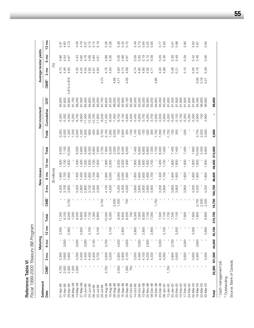| Fiscal 1999-2000 Treasury Bill Program<br>Reference Table VI |                  |        |                 |                 |         |                  |        |               |                    |        |          |               |                 |                  |        |                       |                |
|--------------------------------------------------------------|------------------|--------|-----------------|-----------------|---------|------------------|--------|---------------|--------------------|--------|----------|---------------|-----------------|------------------|--------|-----------------------|----------------|
| Settlement                                                   |                  |        | Maturing        |                 |         |                  |        | New issues    |                    |        |          | Net increment |                 |                  |        | Average tender yields |                |
| Date                                                         | CMB <sup>1</sup> | g<br>ო | 6 <sub>mo</sub> | $12 \text{ mo}$ | Total   | CMB <sup>1</sup> | g<br>S | 6 mo          | g<br>$\frac{1}{2}$ | Total  | Total    | Cumulative    | OS <sup>2</sup> | CMB <sup>1</sup> | ξ<br>ო | 6 mo                  | $2 \text{ mo}$ |
|                                                              |                  |        |                 |                 |         |                  |        | (\$ millions) |                    |        |          |               |                 |                  | (%)    |                       |                |
| 01-Apr-99                                                    | 4,750            | 3,300  |                 | 3,300           | 11,350  | L                | 4,200  | 1,900         | 1,900              | 8,000  | 3,350    | $-3,350$      | 93,600          |                  | 4.75   | 4.86                  | 4.97           |
| 15-Apr-99                                                    | 2,500            | 3,600  | 3,000           |                 | 9,100   |                  | 3,700  | 1,700         | 1,700              | 7,100  | $-2,000$ | $-5,350$      | 91,600          |                  | 4.46   | 4.54                  | 4.60           |
| 29-Apr-99                                                    | 2,500            | 3,800  |                 | 2,900           | 9,200   | 3,700            | 3,600  | 1,600         | 1,600              | 10,500 | 1,300    | $-4,050$      | 92,900          | 4.812-4.919      | 4.60   | 4.67                  | 4.73           |
| 06-May-99                                                    | 1,200            |        |                 |                 | 1,200   |                  |        |               |                    |        | $-1,200$ | $-5,250$      | 91,700          |                  |        |                       |                |
| 13-May-99                                                    | 2,500            | 4,000  | 3,000           |                 | 9,500   |                  | 3,200  | 1,400         | 1,400              | 6,000  | $-3,500$ | $-8,750$      | 88,200          |                  | 4.30   | 4.43                  | 4.56           |
| 27-May-99                                                    |                  | 4,200  |                 | 2,600           | 6,800   |                  | 2,800  | 1,400         | 1,400              | 5,600  | $-1,200$ | $-9,950$      | 87,000          |                  | 4.42   | 4.60                  | 4.79           |
| $10 - Jun - 99$                                              |                  | 4,400  | 3,000           |                 | 7,400   |                  | 2,800  | 1,500         | 1,500              | 5,800  | $-1,600$ | $-11,550$     | 85,400          |                  | 4.54   | 4.78                  | 5.07           |
| 23-Jun-99                                                    |                  | 4,400  |                 | 2,700           | 7,100   |                  | 3,100  | 1,600         | 1,600              | 6,300  | $-800$   | $-12,350$     | 84,600          |                  | 4.62   | 4.88                  | 5.15           |
| 08-Jul-99                                                    |                  | 4,200  | 3,100           |                 | 7,300   |                  | 3,500  | 1,700         | 1,700              | 6,900  | $-400$   | $-12,750$     | 84,200          |                  | 4.61   | 4.84                  | 5.15           |
| $22 - Jul - 99$                                              |                  | 3,700  |                 | 3,100           | 6,800   |                  | 4,000  | 1,800         | 1,800              | 7,600  | 800      | $-11,950$     | 85,000          |                  | 4.64   | 4.81                  | 5.19           |
| 29-Jul-99                                                    |                  |        |                 |                 |         | 2,750            |        |               |                    | 2,750  | 2,750    | $-9,200$      | 87,750          | 4.70             |        |                       |                |
| 05-Aug-99                                                    | 2,750            | 3,600  | 3,700           |                 | 10,050  |                  | 4,100  | 1,900         | 1,900              | 7,900  | $-2,150$ | $-11,350$     | 85,600          |                  | 4.76   | 4.88                  | 5.28           |
| 19-Aug-99                                                    |                  | 3,200  |                 | 3,100           | 6,300   |                  | 4,200  | 2,000         | 2,000              | 8,200  | 1,900    | $-9,450$      | 87,500          |                  | 4.84   | 5.06                  | 5.36           |
| 26-Aug-99                                                    |                  |        |                 |                 |         | 2,000            |        |               |                    | 2,000  | 2,000    | $-7,450$      | 89,500          | 4.68             |        |                       |                |
| 02-Sep-99                                                    | 2,000            | 2,800  | 4,200           |                 | 9,000   | 1,500            | 4,200  | 2,000         | 2,000              | 9,700  | 700      | $-6,750$      | 90,200          | 4.71             | 4.83   | 5.08                  | 5.38           |
| 16-Sep-99                                                    |                  | 2,800  |                 | 2,800           | 5,600   |                  | 4,200  | 2,000         | 2,000              | 8,200  | 2,600    | $-4,150$      | 92,800          |                  | 4.74   | 4.99                  | 5.32           |
| 30-Sep-99                                                    | 1,500            | 3,100  | 3,600           |                 | 8,200   | 750              | 4,000  | 1,900         | 1,900              | 8,550  | 350      | $-3,800$      | 93,150          | 4.59             | 4.69   | 4.87                  | 5.15           |
| 07-Oct-99                                                    | 750              |        |                 |                 | 750     |                  |        |               |                    |        | $-750$   | $-4,550$      | 92,400          |                  |        |                       |                |
| 14-Oct-99                                                    |                  | 3,500  |                 | 2,800           | 6,300   |                  | 3,800  | 1,800         | 1,800              | 7,400  | 1,100    | $-3,450$      | 93,500          |                  | 4.74   | 5.09                  | 5.49           |
| 28-Oct-99                                                    |                  | 4,000  | 3,000           |                 | 7,000   |                  | 3,600  | 1,600         | 1,600              | 6,800  | $-200$   | $-3,650$      | 93,300          |                  | 4.85   | 5.20                  | 5.73           |
| 10-Nov-99                                                    |                  | 4,100  |                 | 2,800           | 6,900   |                  | 3,600  | 009'          | 1,600              | 6,800  | $-100$   | $-3,750$      | 93,200          |                  | 4.90   | 5.19                  | 5.64           |
| 25-Nov-99                                                    |                  | 4,200  | 2,900           |                 | 7,100   |                  | 3,600  | 1,600         | 1,600              | 6,800  | $-300$   | $-4,050$      | 92,900          |                  | 4.82   | 5.10                  | 5.55           |
| 09-Dec-99                                                    |                  | 4,200  |                 | 2,800           | 7,000   |                  | 3,900  | 1,700         | 1,700              | 7,300  | 300      | $-3,750$      | 93,200          |                  | 4.71   | 5.09                  | 5.65           |
| 16-Dec-99                                                    |                  |        |                 |                 |         | 1,750            |        |               |                    | 1,750  | 1,750    | $-2,000$      | 94,950          | 4.86             |        |                       |                |
| 23-Dec-99                                                    |                  | 4,200  | 3,300           |                 | 7,500   |                  | 3,200  | 1,400         | 1,400              | 6,000  | $-1,500$ | $-3,500$      | 93,450          |                  | 4.93   | 5.29                  | 5.77           |
| 06-Jan-00                                                    |                  | 4,000  |                 | 3,100           | 7,100   |                  | 3,600  | 1,700         | 1,700              | 7,000  | $-100$   | $-3,600$      | 93,350          |                  | 4.99   | 5.36                  | 5.83           |
| $13 - Jan-00$                                                | 1,750            |        |                 |                 | 1,750   |                  |        |               |                    |        | $-1,750$ | $-5,350$      | 91,600          |                  |        |                       |                |
| 20-Jan-00                                                    |                  | 3,800  | 3,700           |                 | 7,500   |                  | 3,800  | 1,800         | 1,800              | 7,400  | $-100$   | $-5,450$      | 91,500          |                  | 5.08   | 5.39                  | 5.91           |
| 03-Feb-00                                                    |                  | 3,600  |                 | 3,500           | 7,100   |                  | 3,800  | 1,800         | 1,800              | 7,400  | 300      | $-5,150$      | 91,800          |                  | 5.21   | 5.49                  | 5.98           |
| $10 - Feb - 00$                                              |                  |        |                 |                 |         |                  |        |               |                    |        |          | $-5,150$      | 91,800          |                  |        |                       |                |
| $17 - Feb - 00$                                              |                  | 3,600  | 4,000           |                 | 7,600   |                  | 3,800  | 1,800         | 1,800              | 7,400  | $-200$   | $-5,350$      | 91,600          |                  | 5.10   | 5.39                  | 5.85           |
| 24-Feb-00                                                    |                  |        |                 |                 |         |                  |        |               |                    |        |          | $-5,350$      | 91,600          |                  |        |                       |                |
| 02-Mar-00                                                    |                  | 3,600  |                 | 4,000           | 7,600   |                  | 4,000  | 1,800         | 1,800              | 7,600  |          | $-5,350$      | 91,600          |                  | 5.05   | 5.42                  | 5.83           |
| 16-Mar-00                                                    |                  | 3,900  | 3,900           |                 | 7,800   | 2,750            | 4,200  | 1,800         | 1,800              | 10,550 | 2,750    | $-2,600$      | 94,350          | 5.08             | 5.16   | 5.46                  | 5.87           |
| 23-Mar-00                                                    |                  |        |                 |                 |         | 2,500<br>2,000   |        |               |                    | 2,500  | 2,500    | $-100$        | 96,850          | 5.19             |        |                       |                |
| 30-Mar-00                                                    |                  | 3,200  |                 | 3,600           | 6,800   |                  | 4,200  | 1,800         | 1,800              | 9,800  | 3,000    | 2,900         | 99,850          |                  | 5.28   | 5.56                  | 5.94           |
| Total                                                        | 22,200 101,000   |        | 44,400          | 43,100          | 210,700 | 19,700 100,700   |        | 46,600        | 46,600 213,600     |        | 2,900    | L             | 99,850          |                  |        |                       |                |

Cash management bill.

 $\sim$ Outstanding. Source: Bank of Canada.

**55**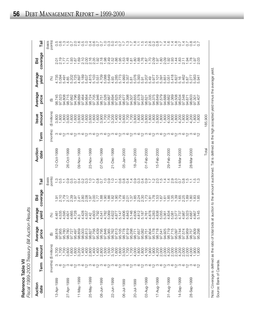|                                        | J         |
|----------------------------------------|-----------|
|                                        | ת והדה ה  |
|                                        |           |
|                                        |           |
|                                        |           |
|                                        | י בו וח   |
| ֦֧ <u>֓</u>                            |           |
|                                        |           |
|                                        |           |
| ני<br>ה                                |           |
|                                        |           |
|                                        |           |
|                                        |           |
|                                        |           |
| is the couple is a<br>)<br>)<br>)<br>) | MVC-00011 |
|                                        | ā<br>C    |
|                                        |           |
|                                        |           |

| ι<br>I                         |
|--------------------------------|
| ļ                              |
| ֖֪֚֚֚֚֚֘֝֝֬֝֬֝֬֓ <b>֓</b> ֚֓֝֬ |
| ہ<br>ہ<br>I                    |
| くくく<br>$\frac{1}{2}$<br>i      |
| $\frac{1}{2}$                  |

| Reference Table VII<br>Fiscal |          |                                  | 1999-2000 Treasury Bill Auction | Resuts                                                                                                                                                                                                                                                                                                                                             |                 |                                                              |                 |          |                                        |                                                                       |                         |                                                                                                                                                                                                                                                                                                                                                                                                                                                                                                                                                                           |                   |
|-------------------------------|----------|----------------------------------|---------------------------------|----------------------------------------------------------------------------------------------------------------------------------------------------------------------------------------------------------------------------------------------------------------------------------------------------------------------------------------------------|-----------------|--------------------------------------------------------------|-----------------|----------|----------------------------------------|-----------------------------------------------------------------------|-------------------------|---------------------------------------------------------------------------------------------------------------------------------------------------------------------------------------------------------------------------------------------------------------------------------------------------------------------------------------------------------------------------------------------------------------------------------------------------------------------------------------------------------------------------------------------------------------------------|-------------------|
| Auction<br>date               | Term     | amount<br><b>Issue</b>           | Average<br>price                | Average<br>yield                                                                                                                                                                                                                                                                                                                                   | coverage<br>Bid | Tail                                                         | Auction<br>date | Term     | amount<br><b>Issue</b>                 | Average<br>price                                                      | Average<br>yield        | coverage<br>Bid                                                                                                                                                                                                                                                                                                                                                                                                                                                                                                                                                           | آھ<br>T           |
|                               | (months) | (\$ millions)                    | ⊕                               | (%)                                                                                                                                                                                                                                                                                                                                                |                 | points)<br>(basis                                            |                 | (months) | (\$ millions)                          | $\widehat{\mathfrak{G}}$                                              | (%)                     |                                                                                                                                                                                                                                                                                                                                                                                                                                                                                                                                                                           | points)<br>(basis |
| 3-Apr-1999                    |          | 3,700<br>1,700                   | ဖ<br>18.81<br>ာ                 | 4.535<br>4.461                                                                                                                                                                                                                                                                                                                                     |                 | $\frac{10}{10}$<br>Ξ                                         | 12-Oct-1999     |          | 800<br>$\frac{1,800}{1,800}$<br>က်     |                                                                       | 4.735<br>5.094<br>5.491 | $0.777$<br>$0.777$<br>$0.077$                                                                                                                                                                                                                                                                                                                                                                                                                                                                                                                                             |                   |
| 27-Apr-1999                   |          | 1,700<br>3,600<br>000<br>1,600   |                                 | 4.595<br>4.728<br>4.601                                                                                                                                                                                                                                                                                                                            |                 | 00000                                                        | 26-Oct-1999     |          | 3,600<br>1,600<br>1,600                | 5<br>5<br>5 5 5 5 5 6 5 6 6<br>6 5 5 6 5 6 6 6<br>6 6 7 6 7 6 7 6 6 7 | 4.85<br>5.202<br>5.725  | 1.93                                                                                                                                                                                                                                                                                                                                                                                                                                                                                                                                                                      | 00-100101         |
| 11-May-1999                   |          | 3,200<br>1,400                   |                                 | 4.3                                                                                                                                                                                                                                                                                                                                                |                 |                                                              | 09-Nov-1999     |          | 3,600<br>1,600                         |                                                                       |                         | 1.69                                                                                                                                                                                                                                                                                                                                                                                                                                                                                                                                                                      |                   |
| 25-May-1999                   |          | 1,400<br>2,800<br>1,400          |                                 | 4 4 557<br>4 557<br>4 4 4 2<br>4.603                                                                                                                                                                                                                                                                                                               |                 |                                                              | 23-Nov-1999     |          | 3,600                                  |                                                                       |                         |                                                                                                                                                                                                                                                                                                                                                                                                                                                                                                                                                                           |                   |
| 08-Jun-1999                   |          | 2,800<br>1,500<br>1,400          |                                 | 4.782<br>5.069<br>4.792<br>4.541                                                                                                                                                                                                                                                                                                                   |                 |                                                              | 07-Dec-1999     |          | $7,800$<br>$7,800$<br>$3,900$<br>1,700 |                                                                       |                         | $\begin{array}{l} 0.0000000 \\ 0.00000000 \\ 0.00000000 \\ \end{array}$                                                                                                                                                                                                                                                                                                                                                                                                                                                                                                   |                   |
| 22-Jun-1999                   |          | 1,500<br>3,100<br>1,600          |                                 | 4.622<br>4.877<br>5.147                                                                                                                                                                                                                                                                                                                            |                 |                                                              | 21-Dec-1999     |          | 1,700<br>3,200<br>1,400                |                                                                       |                         |                                                                                                                                                                                                                                                                                                                                                                                                                                                                                                                                                                           |                   |
| 06-Jul-1999                   |          | 1,600<br>3,500<br>1,700          |                                 | 4.606                                                                                                                                                                                                                                                                                                                                              |                 |                                                              | 05-Jan-2000     |          | 1,400<br>3,600                         |                                                                       |                         |                                                                                                                                                                                                                                                                                                                                                                                                                                                                                                                                                                           |                   |
| 20-Jul-1999                   |          | 1,700<br>4,000<br>1,800          |                                 |                                                                                                                                                                                                                                                                                                                                                    |                 |                                                              | 8-Jan-2000      |          | $\frac{1,700}{1,700}$<br>1,800         |                                                                       |                         |                                                                                                                                                                                                                                                                                                                                                                                                                                                                                                                                                                           |                   |
| 03-Aug-1999                   |          | 1,800<br>4,100<br>1,900<br>1,900 |                                 | $\begin{array}{l} 4\, \, \text{m}\, 4\, \, \text{m}\, 4\, \, \text{m}\, 4\, \, \text{m}\, 4\, \, \text{m}\, 4\, \, \text{m}\, 4\, \, \text{m}\, 4\, \, \text{m}\, 4\, \, \text{m}\, 4\, \, \text{m}\, 4\, \, \text{m}\, 4\, \, \text{m}\, 4\, \, \text{m}\, 4\, \, \text{m}\, 4\, \, \text{m}\, 4\, \, \text{m}\, 4\, \, \text{m}\, 5\, \, \text{$ |                 | OOLLOOLOLLOOOLOOOOLLULLLUNOO<br>OOLLOOLOLLOOOLOOOOLLULLLUNOO | 01-Feb-2000     |          | 3,800<br>1,800                         |                                                                       |                         | $\begin{array}{l}Q\rightarrow\infty\;Q\rightarrow\infty\;Q\rightarrow\infty\;Q\rightarrow\infty\;Q\rightarrow\infty\;Q\rightarrow\infty\;Q\rightarrow\infty\;Q\rightarrow\infty\;Q\rightarrow\infty\;Q\rightarrow\infty\;Q\rightarrow\infty\;Q\rightarrow\infty\;Q\rightarrow\infty\;Q\rightarrow\infty\;Q\rightarrow\infty\;Q\rightarrow\infty\;Q\rightarrow\infty\;Q\rightarrow\infty\;Q\rightarrow\infty\;Q\rightarrow\infty\;Q\rightarrow\infty\;Q\rightarrow\infty\;Q\rightarrow\infty\;Q\rightarrow\infty\;Q\rightarrow\infty\;Q\rightarrow\infty\;Q\rightarrow\in$ |                   |
| 17-Aug-1999                   |          | 4,200<br>2,000<br>2,000          |                                 |                                                                                                                                                                                                                                                                                                                                                    |                 |                                                              | 5-Feb-2000      |          | 3,800<br>1,800                         |                                                                       |                         |                                                                                                                                                                                                                                                                                                                                                                                                                                                                                                                                                                           |                   |
| 31-Aug-1999                   |          | 4,200<br>2,000<br>2,000          |                                 |                                                                                                                                                                                                                                                                                                                                                    |                 |                                                              | 29-Feb-2000     |          | 1,800<br>4,000<br>1,800<br>1,800       | 94.688<br>98.662<br>97.369<br>94.508                                  |                         | 44                                                                                                                                                                                                                                                                                                                                                                                                                                                                                                                                                                        |                   |
| 14-Sep-1999                   |          | 4,200<br>2,000<br>2,000          |                                 | 5.323<br>4.987                                                                                                                                                                                                                                                                                                                                     |                 |                                                              | 14-Mar-2000     |          | 4,200<br>1,800<br>1,800                | 98.634<br>97.548<br>94.671                                            |                         | .83<br>든<br>$\sim$                                                                                                                                                                                                                                                                                                                                                                                                                                                                                                                                                        |                   |
| 28-Sep-1999                   |          | 4,000<br>1,900<br>900            |                                 | .145<br>4.687<br>4.867<br>5.145                                                                                                                                                                                                                                                                                                                    | 83              | $0.0 - 0.0$                                                  | 28-Mar-2000     |          | 4,200<br>,800<br>,800                  | 98.603<br>94.407<br>97.301                                            |                         | 1.78<br>$-50$<br>$\sim$                                                                                                                                                                                                                                                                                                                                                                                                                                                                                                                                                   |                   |
|                               |          |                                  |                                 |                                                                                                                                                                                                                                                                                                                                                    |                 |                                                              | Total           |          | 185,900                                |                                                                       |                         |                                                                                                                                                                                                                                                                                                                                                                                                                                                                                                                                                                           |                   |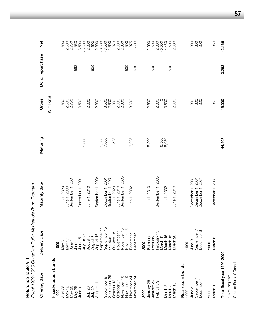| Reference Table VIII                  | Fiscal 1999-2000 Canadian-Dollar Marketable Bond Program |                                      |                |                           |                 |                                  |
|---------------------------------------|----------------------------------------------------------|--------------------------------------|----------------|---------------------------|-----------------|----------------------------------|
| Offering date                         | Delivery date                                            | Maturity date                        | Maturing       | Gross                     | Bond repurchase | $\frac{1}{2}$                    |
|                                       |                                                          |                                      |                | (\$ millions)             |                 |                                  |
| Fixed-coupon bonds<br>1999            | 1999                                                     |                                      |                |                           |                 |                                  |
| April 28                              | May 3                                                    |                                      |                |                           |                 | 1,800                            |
| May 12                                | May 17                                                   | June 1, 2029<br>June 1, 2009         |                | $\frac{1,800}{2,500}$     |                 | 2,500                            |
| May 26                                | June 1                                                   | September 1, 2004                    |                | 2,750                     |                 | 2,750                            |
| May 26                                | June 1                                                   |                                      |                |                           | 563             | $-563$                           |
| June 9                                | June 15                                                  | December 1, 2001                     |                | 3,500                     |                 | 3,500                            |
| July 28                               | August 3<br>August 2                                     | June 1, 2010                         | 5,600          | 2,600<br>O                |                 | $-5,600$<br>2,600                |
| July 29                               | August 3                                                 |                                      |                |                           | 600             | $-600$                           |
| August 11                             | August 16                                                | September 1, 2004                    |                | 2,800                     |                 | 2,800<br>2,500<br>2,600<br>2,800 |
|                                       | September                                                |                                      | 8,500<br>7,000 | $\circ$                   |                 |                                  |
| September 8                           | September 15                                             | December 1, 2001                     |                | $3,500$<br>$2,800$        |                 |                                  |
| September 29<br>October <sub>13</sub> | October 15<br>October                                    | September 1, 2004<br>June 1, 2029    | 528            |                           |                 |                                  |
| October 27                            | November                                                 | June 1, 2010                         |                | $7,800$<br>2,800<br>2,800 |                 | 1,373<br>2,600                   |
| November 10                           | 5<br>November                                            | September 1, 2005                    |                |                           |                 | 2,800                            |
| November 10                           | November                                                 |                                      |                |                           | 500             | -500                             |
| November 24                           | December                                                 | June 1, 2002                         | 3,225          | 3,600                     |                 | 375<br>006-                      |
| November 24                           | December                                                 |                                      |                |                           | 600             |                                  |
| 2000                                  | 2000                                                     |                                      |                |                           |                 |                                  |
| January 26                            | February                                                 | June 1, 2010                         | 5,500          | 2,600                     |                 | $-2,900$                         |
| January 26                            | February                                                 |                                      |                |                           | 500             | $-500$                           |
| February 9                            | $\frac{5}{1}$<br>February                                | September 1, 2005                    |                | 2,800                     |                 | 2,800<br>-6,500                  |
|                                       | March 1*                                                 |                                      | 6,500<br>8,050 | $\circ$                   |                 |                                  |
| March 8<br>March 8                    | March 15                                                 | June 1, 2002                         |                | 3,600                     |                 | $-4,450$                         |
| March 15                              | March 15<br>March 20                                     | June 1, 2010                         |                | 2,600                     | 500             | $-500$<br>2,600                  |
|                                       |                                                          |                                      |                |                           |                 |                                  |
| Real return bonds                     |                                                          |                                      |                |                           |                 |                                  |
| 1999                                  | 1999                                                     |                                      |                |                           |                 |                                  |
| June $2$                              | June 8                                                   | December 1, 2031                     |                | 300                       |                 |                                  |
| September<br>December                 | September 7<br>December 6                                | December 1, 2031<br>December 1, 2031 |                | 300<br>300                |                 | 8888                             |
|                                       |                                                          |                                      |                |                           |                 |                                  |
| 2000                                  | 2000                                                     |                                      |                |                           |                 |                                  |
| March <sub>1</sub>                    | March <sub>6</sub>                                       | December 1, 2031                     |                | 350                       |                 | 350                              |
| Total fiscal year 1999-2000           |                                                          |                                      | 44,903         | 46,000                    | 3,263           | $-2,166$                         |
| * Maturing date                       |                                                          |                                      |                |                           |                 |                                  |
| Source: Bank of Canada.               |                                                          |                                      |                |                           |                 |                                  |

**57**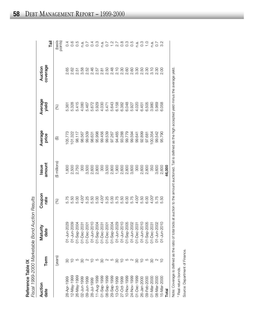| ble IX<br>ؚ | نہ صدر :<br>į<br>-- 14 p/n-<br>ູ້<br>Ĭ<br>NN COO COOF<br>:<br>גע<br>$\frac{1}{2}$ |
|-------------|-----------------------------------------------------------------------------------|
| ı           | こく                                                                                |

| Auction<br>date                                     | Term                                                    | Maturity<br>date      | Coupon<br>rate | amount<br>Issue                                                                                           | Average<br>price | Average<br>yield | coverage<br>Auction    | iā⊺                                                           |
|-----------------------------------------------------|---------------------------------------------------------|-----------------------|----------------|-----------------------------------------------------------------------------------------------------------|------------------|------------------|------------------------|---------------------------------------------------------------|
|                                                     | (years)                                                 |                       | (%)            | (\$ millions)                                                                                             | $\bigoplus$      | (%)              |                        | (basis<br>points)                                             |
| 28-Apr-1999                                         |                                                         | 01-Jun-202            |                | 1,800                                                                                                     | 05.773           | 5.361            | 2.65                   | $\overline{0.4}$                                              |
| 12-May-1999                                         |                                                         | 01-Jun-200            | 5.50           | 2,500                                                                                                     | 01.322           | 5.328            | 2.62                   |                                                               |
| 26-May-1999                                         | 580                                                     | $01 - \text{Sep-}200$ | 5.00           | 2,750                                                                                                     | 98.117           | 5.415            | 2.51                   | 0.5<br>0.5                                                    |
| 02-Jun-1999                                         |                                                         | 01-Dec-203            | $4.00*$        | 300                                                                                                       | 98.567           | 4.080            | 3.58                   | n.a.                                                          |
| 09-Jun-1999                                         |                                                         | 01-Dec-200            | 5.25           | 3,500                                                                                                     | 99.509           | 5.467            | 2.52                   | 0.7                                                           |
| 28-Jul-1999                                         | $\begin{array}{c} \mathbb{Q} \\ \mathbb{Q} \end{array}$ | 01-Jun-201            | 5.50           | 2,600                                                                                                     | 98.631           | 5.672            | 2.46                   |                                                               |
| 11-Aug-1999                                         |                                                         | $01 - \text{Sep-200}$ | 5.00           | 2,800                                                                                                     | 95.998           | 5.929            | 2.57                   | $0.\overline{0}$                                              |
| 01-Sep-1999                                         | င္က                                                     | 01-Dec-203            | $4.00*$        | 300                                                                                                       | 99.456           | 4.030            | 2.81                   | n.a.                                                          |
| 08-Sep-1999                                         |                                                         | 01-Dec-200            | 5.25           | 3,500                                                                                                     | 99.539           | 5.471            | 2.50                   |                                                               |
| 29-Sep-1999                                         |                                                         | $01 - \text{Sep-}200$ |                | 2,800                                                                                                     | 97.267           | 5.643            |                        | $\begin{array}{c} 7.00000 \\ 7.00000 \\ -0.00000 \end{array}$ |
| 13-Oct-1999                                         |                                                         | 01-Jun-202            | 5.75<br>5.750  | 1,900                                                                                                     | 94.465           | 6.158            | 8<br>2 5<br>2 8<br>2 8 |                                                               |
| 27-Oct-1999                                         |                                                         | 01-Jun-201            |                | 2,600                                                                                                     | 93.288           | 6.382            |                        |                                                               |
| 10-Nov-1999                                         |                                                         | $01 -$ Sep-200        | 6.00<br>5.75   | 2,800                                                                                                     | 99.779           | 6.048            | 2.60                   |                                                               |
| 24-Nov-1999                                         |                                                         | 01-Jun-200            |                | 3,600                                                                                                     | 99.594           | 5.927            | 2.60                   |                                                               |
| 01-Dec-1999                                         |                                                         | 01-Dec-203            | $4.00*$        | 300                                                                                                       | 99.641           | 4.020            | 3.30                   | n.a.                                                          |
| 26-Jan-2000                                         |                                                         | 01-Jun-201            | 5.50           | 2,600                                                                                                     | 92.899           | 6.451            | 2.50                   |                                                               |
| 09-Feb-2000                                         | $\overline{a}$                                          | $01 - \text{Sep-}200$ | 6.00           | 800<br>$\overline{\mathcal{N}}$                                                                           | 97.681           | 6.505            | 2.30                   | 0.70                                                          |
| 01-Mar-2000                                         | 80                                                      | 01-Dec-203            | $4.00*$        | 350                                                                                                       | 00.354           | 3.980            | 3.10                   | n.a.                                                          |
| 08-Mar-2000                                         | $\sim$                                                  | 01-Jun-200            | 5.75           | 3,600                                                                                                     | 99.542           | 5.969            | 2.30                   | $\overline{0.7}$                                              |
| 15-Mar-2000                                         | $\subseteq$                                             | 01-Jun-201            | 50             | 2,600                                                                                                     | 95.790           | 6.058            | 2.00                   | 3.2                                                           |
| Total                                               |                                                         |                       |                | 46,000                                                                                                    |                  |                  |                        |                                                               |
| Note: Coverage is defined as the ratio of total bic |                                                         |                       |                | ds at auction to the amount auctioned. Tail is defined as the high accepted yield minus the average yield |                  |                  |                        |                                                               |

**58** DEBT MANAGEMENT REPORT – 1999-2000

> \* Real return bonds. \* Real return bonds.

Source: Department of Finance. Source: Department of Finance.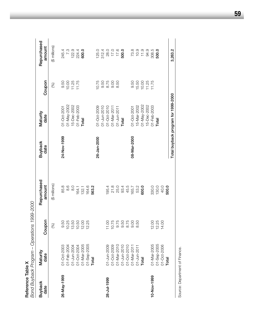| Reference Table X      |                                   |                                 |                       |                 |                                     |                    |                            |
|------------------------|-----------------------------------|---------------------------------|-----------------------|-----------------|-------------------------------------|--------------------|----------------------------|
|                        | Bond Buyback Program - Operations |                                 | 1999-2000             |                 |                                     |                    |                            |
| <b>Buyback</b><br>date | Maturity<br>date                  | Coupon                          | Repurchased<br>amount | Buyback<br>date | Maturity<br>date                    | Coupon             | Repurchased<br>amount      |
|                        |                                   | (%)                             | (\$ millions)         |                 |                                     | (%)                | (\$ millions)              |
| 26-May-1999            | 01-Oct-2003                       |                                 | 85.8                  | 24-Nov-1999     | 01-Oct-2001                         | 9.50               | 245.4                      |
|                        | 01-Feb-2004                       |                                 | 8.6                   |                 | 01-May-2002                         |                    | 7.3                        |
|                        | 01-Jun-2004                       |                                 | 8.0                   |                 | 15-Dec-2002                         | $10.00$<br>$11.25$ | 122.9                      |
|                        | 01-Oct-2004<br>01-Mar-2005        | 9.50<br>10.25<br>12.00<br>12.12 | 164.1                 |                 | 01-Feb-2003                         | 11.75              |                            |
|                        |                                   |                                 | 132.1                 |                 | Total                               |                    | 224.4<br>600.0             |
|                        | 01-Sep-2005                       | .25<br>12.                      | 164.6                 |                 |                                     |                    |                            |
|                        | Total                             |                                 | 563.2                 |                 |                                     |                    |                            |
|                        |                                   |                                 |                       | 26-Jan-2000     | 01-Oct-2009                         | 10.75              | 125.0                      |
|                        |                                   |                                 |                       |                 | $01 - Jun-2010$                     | 9.50               | 312.4                      |
| 28-Jul-1999            | 01-Jun-2009                       | 1.00                            | 195.4                 |                 | 01-Oct-2010                         | 8.75               |                            |
|                        |                                   | 10.75                           | 21.8                  |                 | $01 - \text{Mar-}2011$              | 9.00               | 0.0<br>17.0<br>17.0        |
|                        | 01-Oct-2009<br>01-Mar-2010        |                                 | 25.0                  |                 | 01-Jun-2011                         | 8.50               |                            |
|                        |                                   |                                 | 93.4                  |                 | Total                               |                    | 500.0                      |
|                        | 01-Jun-2010<br>01-Oct-2010        |                                 | 45.5                  |                 |                                     |                    |                            |
|                        | 01-Mar-2011                       |                                 | 165.7                 | 08-Mar-2000     | 01-Oct-2001                         | 9.50               |                            |
|                        | 01-Jun-2011                       |                                 | 53.2                  |                 | 15-Mar-2002                         | 15.50              | $73.9$<br>$11.9$<br>$11.9$ |
|                        | Total                             |                                 | 600.0                 |                 | 01-May-2002                         | 10.00              |                            |
|                        |                                   |                                 |                       |                 | 15-Dec-2002                         | 11.25              | 94.9                       |
| 10-Nov-1999            | 01-Mar-2005                       | 12.00                           | 330.0                 |                 | 01-Feb-2003                         | 11.75              | 308.5                      |
|                        | 01-Sep-2005                       | 12.25                           | 130.0                 |                 | Total                               |                    | 500.0                      |
|                        | 01-Oct-2006                       | S<br>$\overline{4}$             | 40.0                  |                 |                                     |                    |                            |
|                        | Total                             |                                 | 500.0                 |                 |                                     |                    |                            |
|                        |                                   |                                 |                       |                 | Total buyback program for 1999-2000 |                    | 3,263.2                    |

Source: Department of Finance. Source: Department of Finance.

**59**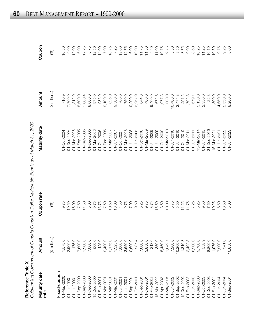| r |
|---|
|   |
|   |
|   |
|   |
|   |
|   |
|   |
|   |
|   |
|   |
|   |
|   |

**Reference Table XI**<br>Outstanding Government of Canada Canadian-Dollar Marketable Bonds as at March 31, 2000 *Outstanding Government of Canada Canadian-Dollar Marketable Bonds as at March 31, 2000*

| Maturity date<br>rate | Amount        | Coupon rate | Maturity date | Amount        | Coupon |
|-----------------------|---------------|-------------|---------------|---------------|--------|
|                       | (\$ millions) | (%)         |               | (\$ millions) | (%)    |
| Fixed-coupon          |               |             |               |               |        |
| 01-May-2000           | 1,575.0       | 9.75        | 01-Oct-2004   | 710.9         | 10.50  |
| 01-Jul-2000           | 2,900.0       | 10.50       | 01-Dec-2004   | 7,700.0       | 9.00   |
| 01-Jul-2000           | 175.0         | 15.00       | 01-Mar-2005   | 1,312.9       | 12.00  |
| 01-Sep-2000           | 7,600.0       | 7.50        | 01-Sep-2005   | 5,600.0       | 6.00   |
| 01-Sep-2000           | 1,200.0       | 11.50       | 01-Sep-2005   | 1,080.4       | 12.25  |
| 01-Dec-2000           | 7,000.0       | 5.00        | 01-Dec-2005   | 8,000.0       | 8.75   |
| 15-Dec-2000           | 500.0         | 9.75        | 01-Mar-2006   | 975.0         | 12.50  |
| 01-Feb-2001           | 425.0         | 15.75       | 01-Oct-2006   | 985.0         | 14.00  |
| 01-Mar-200            | 9,400.0       | 7.50        | 01-Dec-2006   | 9,100.0       | 7.00   |
| 01-Mar-2001           | 3,175.0       | 10.50       | 01-Mar-2007   | 325.0         | 13.75  |
| 01-May-200            | 1,325.0       | 13.00       | 01-Jun-2007   | 9,500.0       | 7.25   |
| 00-hun-200            | 7,000.0       | 4.50        | 01-Oct-2007   | 700.0         | 13.00  |
| 01-Jun-2001           | 3,550.0       | 9.75        | 01-Mar-2008   | 750.0         | 12.75  |
| 01-Sep-2001           | 10,600.0      | 7.00        | 01-Jun-2008   | 9,200.0       | 6.00   |
| D1-Oct-2001           | 987.4         | 9.50        | 01-Jun-2008   | 3,257.9       | 10.00  |
| 01-Dec-2001           | 7,000.0       | 5.25        | 01-Oct-2008   | 644.8         | 11.75  |
| 01-Dec-2001           | 3,850.0       | 9.75        | 01-Mar-2009   | 400.0         | 11.50  |
| 01-Feb-2002           | 213.0         | 8.75        | 01-Jun-2009   | 9,400.0       | 5.50   |
| 5-Mar-2002            | 350.0         | 15.50       | 01-Jun-2009   | 672.8         | 11.00  |
| 01-Apr-2002           | 5,450.0       | 8.50        | 01-Oct-2009   | 1,077.3       | 10.75  |
| 01-May-2002           | 1,842.7       | 10.00       | 01-Mar-2010   | 300.0         | 9.75   |
| 01-Jun-2002           | 7,200.0       | 5.75        | 01-Jun-2010   | 10,400.0      | 5.50   |
| 01-Sep-2002           | 10,200.0      | 5.50        | 01-Jun-2010   | 2,474.3       | 9.50   |
| 5-Dec-2002            | 1,316.8       | 11.25       | 01-Oct-2010   | 251.5         | 8.75   |
| 01-Feb-2003           | 2,402.3       | 11.75       | 01-Mar-2011   | 1,792.3       | 0.6    |
| 01-Jun-2003           | 6,900.0       | 7.25        | 01-Jun-2011   | 679.1         | 8.50   |
| 01-Sep-2003           | 9,700.0       | 5.25        | 15-Mar-2014   | 3,150.0       | 10.25  |
| 01-Oct-2003           | 558.9         | 9.50        | 01-Jun-2015   | 2,350.0       | 11.25  |
| 01-Dec-2003           | 8,800.0       | 7.50        | 31-Dec-2019   | 22.3          | 10.19  |
| 01-Feb-2004           | 1,976.9       | 10.25       | 15-Mar-2021   | 1,800.0       | 10.50  |
| 01-Jun-2004           | 7,900.0       | 6.50        | 01-Jun-2021   | 4,650.0       | 9.75   |
| 01-Jun-2004           | 541.0         | 13.50       | 01-Jun-2022   | 2,550.0       | 9.25   |
| 01-Sep-2004           | 10,850.0      | 5.00        | 01-Jun-2023   | 8,200.0       | 8.00   |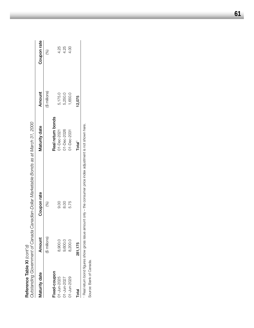| Reference Table XI (cont'd) |                                                                                                                                                                                                                                | Dutstanding Government of Canada Canadian-Dollar Marketable Bonds as at March 31, 2000           |                    |               |             |
|-----------------------------|--------------------------------------------------------------------------------------------------------------------------------------------------------------------------------------------------------------------------------|--------------------------------------------------------------------------------------------------|--------------------|---------------|-------------|
| Maturity date               | Amount                                                                                                                                                                                                                         | Coupon rate                                                                                      | Maturity date      | Amount        | Coupon rate |
|                             | (\$ millions)                                                                                                                                                                                                                  | $\mathcal{S}$                                                                                    |                    | (\$ millions) | (%)         |
| Fixed-coupon                |                                                                                                                                                                                                                                |                                                                                                  | Real return bonds  |               |             |
| 01-Jun-2025                 | 8,900.0                                                                                                                                                                                                                        | 0.00                                                                                             | 01-Dec-2021        | 5,175.0       | 4.25        |
| 01-Jun-2027                 | 9,600.0                                                                                                                                                                                                                        | 8.00                                                                                             | 01-Dec-2026        | 5,250.0       | 4.25        |
| 01-Jun-2029                 | 8,200.0                                                                                                                                                                                                                        | 5.75                                                                                             | 01-Dec-2031        | 0.050,1       | 4.00        |
| Total                       | 281,175                                                                                                                                                                                                                        |                                                                                                  | Total <sup>1</sup> | 12,075        |             |
|                             | . Define he had difficult and a contract interview of the contract of the contract of the contract of the contract of the contract of the contract of the contract of the contract of the contract of the contract of the cont | one direct control in the control of the control of the control of the control of the first term |                    |               |             |

1 Real return bond figures show gross issue amount only - the consumer price index adjustment is not shown here. Real return bond figures show gross issue amount only – the consumer price index adjustment is not shown here.

Source: Bank of Canada. Source: Bank of Canada.

**61**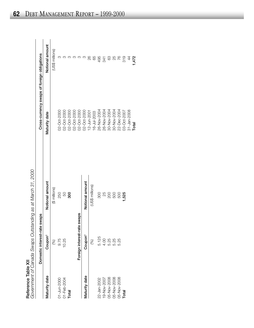|                     | avernment of Canada Swaps Outstanding as at March |
|---------------------|---------------------------------------------------|
|                     |                                                   |
|                     |                                                   |
|                     |                                                   |
|                     |                                                   |
|                     |                                                   |
|                     |                                                   |
|                     |                                                   |
|                     |                                                   |
|                     |                                                   |
|                     |                                                   |
|                     |                                                   |
|                     |                                                   |
|                     |                                                   |
|                     |                                                   |
|                     |                                                   |
|                     |                                                   |
|                     |                                                   |
|                     |                                                   |
|                     |                                                   |
|                     |                                                   |
|                     |                                                   |
|                     |                                                   |
|                     |                                                   |
|                     |                                                   |
|                     |                                                   |
|                     |                                                   |
|                     |                                                   |
|                     |                                                   |
|                     |                                                   |
|                     |                                                   |
| Reference Table XII |                                                   |
|                     |                                                   |
|                     |                                                   |
|                     |                                                   |
|                     |                                                   |
|                     |                                                   |
|                     |                                                   |
|                     |                                                   |
|                     |                                                   |
|                     |                                                   |
|                     |                                                   |
|                     |                                                   |
|                     |                                                   |
|                     |                                                   |

| Reference Table XII |                              | Government of Canada Swaps Outstanding as at March 31, 2000 |                                             |                 |
|---------------------|------------------------------|-------------------------------------------------------------|---------------------------------------------|-----------------|
|                     | Domestic interest-rate swaps |                                                             | Cross-currency swaps of foreign obligations |                 |
| Maturity date       | Coupon <sup>1</sup>          | Notional amount                                             | Maturity date                               | Notional amount |
|                     | (%)                          | (\$ millions)                                               |                                             | (US\$ millions) |
| 01-Jun-2000         | 9.75                         | 250                                                         | 02-Oct-2000                                 |                 |
| 01-Feb-2004         | 10.25                        | 50                                                          | 02-Oct-2000                                 |                 |
| Total               |                              | 300                                                         | 02-Oct-2000                                 |                 |
|                     |                              |                                                             | 0005-300-200                                |                 |
|                     | Foreign interest-rate swaps  |                                                             | 0005-3000                                   |                 |
| Maturity date       | Coupon <sup>1</sup>          | Notional amount                                             | 02-Oct-2000                                 |                 |
|                     |                              |                                                             | 12-Jun-2001                                 | 88              |
|                     | (%)                          | (US\$ millions)                                             | <b>16-Jul-2003</b>                          | 89              |
| 22-Jan-2002         | 5.125                        | <b>OOS</b>                                                  | 26-Nov-2004                                 | 495             |
| 19-Nov-2007         | 4.00                         | 25                                                          | 26-Nov-2004                                 | 341             |
| 05-Nov-2008         | 5.25                         |                                                             | 30-Nov-2004                                 |                 |
| 05-Nov-2008         |                              | <b>200</b><br>500                                           | 30-Nov-2004                                 | 88              |
| 05-Nov-2008         | 5.25                         | 500                                                         | 22-Dec-2004                                 | 76              |
| Total               |                              | 1,525                                                       | 002-300-2007                                | 319             |
|                     |                              |                                                             | 31-Jan-2008                                 | 4               |
|                     |                              |                                                             | Total                                       | 1,472           |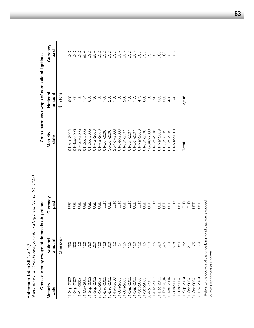| Reference Table XII (cont'd)                    |                                | Government of Canada Swaps Outstanding as at March 31, 2000 |                  |                                              |                  |
|-------------------------------------------------|--------------------------------|-------------------------------------------------------------|------------------|----------------------------------------------|------------------|
|                                                 | Cross-currency swaps of domest | tic obligations                                             |                  | Cross-currency swaps of domestic obligations |                  |
| Maturity<br>date                                | Notional<br>amount             | Currency<br>paid                                            | Maturity<br>date | Notional<br>amount                           | Currency<br>paid |
|                                                 | (\$ millions)                  |                                                             |                  | (\$ millions)                                |                  |
| 01-Sep-2002                                     | 250                            | 9                                                           | 01-Mar-2005      | 565                                          | GSU              |
| 04-Sep-2002                                     | 1,000                          | asu                                                         | 01-Sep-2005      | $\overline{0}$                               | go               |
| 01-Apr-2002                                     | SS                             | asu                                                         | 23-Nov-2005      | 150                                          | go               |
| 01-May-2002                                     | $\overline{5}$                 | asu                                                         | 01-Dec-2005      | 194                                          | EUR              |
| 01-Sep-2002                                     | 750                            | 9g                                                          | 01-Dec-2005      | 650                                          | go               |
| 03-Sep-2002                                     | 250                            | go                                                          | 01-Mar-2006      | 86                                           | EUR              |
| 28-Oct-2002                                     | $\frac{8}{1}$                  | GSU                                                         | 01-Mar-2006      | SO                                           | asp              |
| 15-Dec-2002                                     | $\frac{8}{1}$                  |                                                             | 01-Oct-2006      | 100                                          | asp              |
| 15-Dec-2002                                     | 800                            |                                                             | 30-Oct-2006      | 250                                          | asp              |
| 01-Feb-2003                                     | SS                             |                                                             | 23-Nov-2006      | 150                                          | asp              |
| 01-Jun-2003                                     | 54                             |                                                             | 01-Dec-2006      | SO                                           | EUR              |
| 01-Jun-2003                                     | 125                            |                                                             | 01-Jun-2007      | 206                                          | EUR<br>USD       |
| 01-Sep-2003                                     | 105                            |                                                             | 01-Jun-2007      | 750                                          |                  |
| 01-Sep-2003                                     | 150                            |                                                             | 01-Oct-2007      | 153                                          | 599              |
| 01-Oct-2003                                     | 182                            |                                                             | 01-Mar-2008      | 475                                          |                  |
| 01-Oct-2003                                     | 65                             |                                                             | 01-Jun-2008      | 800                                          |                  |
| 30-Nov-2003                                     | $\frac{8}{1}$                  |                                                             | 30-Sep-2008      | SO                                           | JSD              |
| 01-Dec-2003                                     | 155                            |                                                             | 01-Oct-2008      | $\frac{1}{2}$                                | go               |
| 01-Dec-2003                                     | 520                            |                                                             | 01-Mar-2009      | 535                                          | go               |
| 01-Feb-2004                                     | 525                            |                                                             | 01-Jun-2009      | 505                                          | go               |
| 30-Mar-2004                                     | $\frac{8}{1}$                  |                                                             | 01-Oct-2009      | 458                                          | EUR              |
| 01-Jun-2004                                     | 518                            | EUR                                                         | 01-Mar-2010      | $\frac{8}{3}$                                | EUR              |
| 01-Jun-2004                                     | 350                            | asp                                                         |                  |                                              |                  |
| 01-Sep-2004                                     | SS                             | EUR                                                         | Total            | 13,216                                       |                  |
| 01-Oct-2004                                     | 211                            | EUR                                                         |                  |                                              |                  |
| 01-Oct-2004                                     | 125                            | go                                                          |                  |                                              |                  |
| 23-Nov-2004                                     | $\overline{0}$                 | go                                                          |                  |                                              |                  |
| 1 Refere to the counce of the underlying bond t |                                | hat was swannad                                             |                  |                                              |                  |

**63**

<sup>1</sup> Refers to the coupon of the underlying bond that was swapped.<br>Source: Department of Finance. Refers to the coupon of the underlying bond that was swapped.

Source: Department of Finance.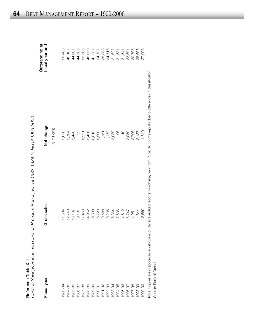|                                                    | Canada Sayinos Bonds and Canada Premium Bonds. Fiscal 1982-1984 to Fiscal 1999-2000.<br>O A DON - 2012 - 2014 - 2021 - 2021 - 2021 - 2021 - 2021 - 2022 - 2022 - 2022 - 2022 - 2022 - 2022 - 2022 - 20 |
|----------------------------------------------------|--------------------------------------------------------------------------------------------------------------------------------------------------------------------------------------------------------|
|                                                    |                                                                                                                                                                                                        |
|                                                    |                                                                                                                                                                                                        |
|                                                    |                                                                                                                                                                                                        |
|                                                    |                                                                                                                                                                                                        |
|                                                    |                                                                                                                                                                                                        |
|                                                    |                                                                                                                                                                                                        |
|                                                    |                                                                                                                                                                                                        |
|                                                    |                                                                                                                                                                                                        |
|                                                    |                                                                                                                                                                                                        |
| <b>NEIDI CHINE AND ANII</b><br>Reterence Land XIII |                                                                                                                                                                                                        |
|                                                    |                                                                                                                                                                                                        |
|                                                    |                                                                                                                                                                                                        |

| Net change<br>(\$ millions)<br>$-5,456$<br>$-3,089$<br>-96<br>$-2,796$<br>5,650<br>2,440<br>$-22 -$<br>$-6,813$<br>$-6,500$<br>$-1,172$<br>$\frac{0}{1}$<br>2,050<br>$-2,187$<br>3,764<br>1,151<br>8,921<br>Gross sales<br>9,338<br>9,588<br>9,235<br>7,506<br>17,450<br>14,962<br>6,720<br>4,612<br>5,747<br>11,584<br>12,743<br>5,364<br>4,844<br>15,107<br>9,191<br>4,951<br>Fiscal year<br>1984-85<br>1988-89<br>1992-93<br>1994-95<br>1995-96<br>1997-98<br>1998-99<br>983-84<br>1985-86<br>1987-88<br>1989-90<br>1991-92<br>1993-94<br>1996-97<br>1986-87<br>1990-91 |                                   |
|----------------------------------------------------------------------------------------------------------------------------------------------------------------------------------------------------------------------------------------------------------------------------------------------------------------------------------------------------------------------------------------------------------------------------------------------------------------------------------------------------------------------------------------------------------------------------|-----------------------------------|
|                                                                                                                                                                                                                                                                                                                                                                                                                                                                                                                                                                            | Outstanding at<br>fiscal year end |
|                                                                                                                                                                                                                                                                                                                                                                                                                                                                                                                                                                            |                                   |
|                                                                                                                                                                                                                                                                                                                                                                                                                                                                                                                                                                            | 38,403                            |
|                                                                                                                                                                                                                                                                                                                                                                                                                                                                                                                                                                            | 42,167                            |
|                                                                                                                                                                                                                                                                                                                                                                                                                                                                                                                                                                            | 44,607                            |
|                                                                                                                                                                                                                                                                                                                                                                                                                                                                                                                                                                            | 44,585                            |
|                                                                                                                                                                                                                                                                                                                                                                                                                                                                                                                                                                            | 53,506                            |
|                                                                                                                                                                                                                                                                                                                                                                                                                                                                                                                                                                            | 48,050                            |
|                                                                                                                                                                                                                                                                                                                                                                                                                                                                                                                                                                            | 41,237                            |
|                                                                                                                                                                                                                                                                                                                                                                                                                                                                                                                                                                            | 34,737                            |
|                                                                                                                                                                                                                                                                                                                                                                                                                                                                                                                                                                            | 35,888                            |
|                                                                                                                                                                                                                                                                                                                                                                                                                                                                                                                                                                            | 34,716                            |
|                                                                                                                                                                                                                                                                                                                                                                                                                                                                                                                                                                            | 31,627                            |
|                                                                                                                                                                                                                                                                                                                                                                                                                                                                                                                                                                            | 31,531                            |
|                                                                                                                                                                                                                                                                                                                                                                                                                                                                                                                                                                            | 31,541                            |
|                                                                                                                                                                                                                                                                                                                                                                                                                                                                                                                                                                            | 33,591                            |
|                                                                                                                                                                                                                                                                                                                                                                                                                                                                                                                                                                            | 30,795                            |
|                                                                                                                                                                                                                                                                                                                                                                                                                                                                                                                                                                            | 28,608                            |
| $-1,510$<br>2,669<br>1999-00                                                                                                                                                                                                                                                                                                                                                                                                                                                                                                                                               | 27,098                            |

Note: Figures are in accordance with Bank of Canada audited reports, which may vary from Public Accounts reports due to differences in classification.

Note: Tigance are in according<br>Source: Bank of Canada. Source: Bank of Canada.